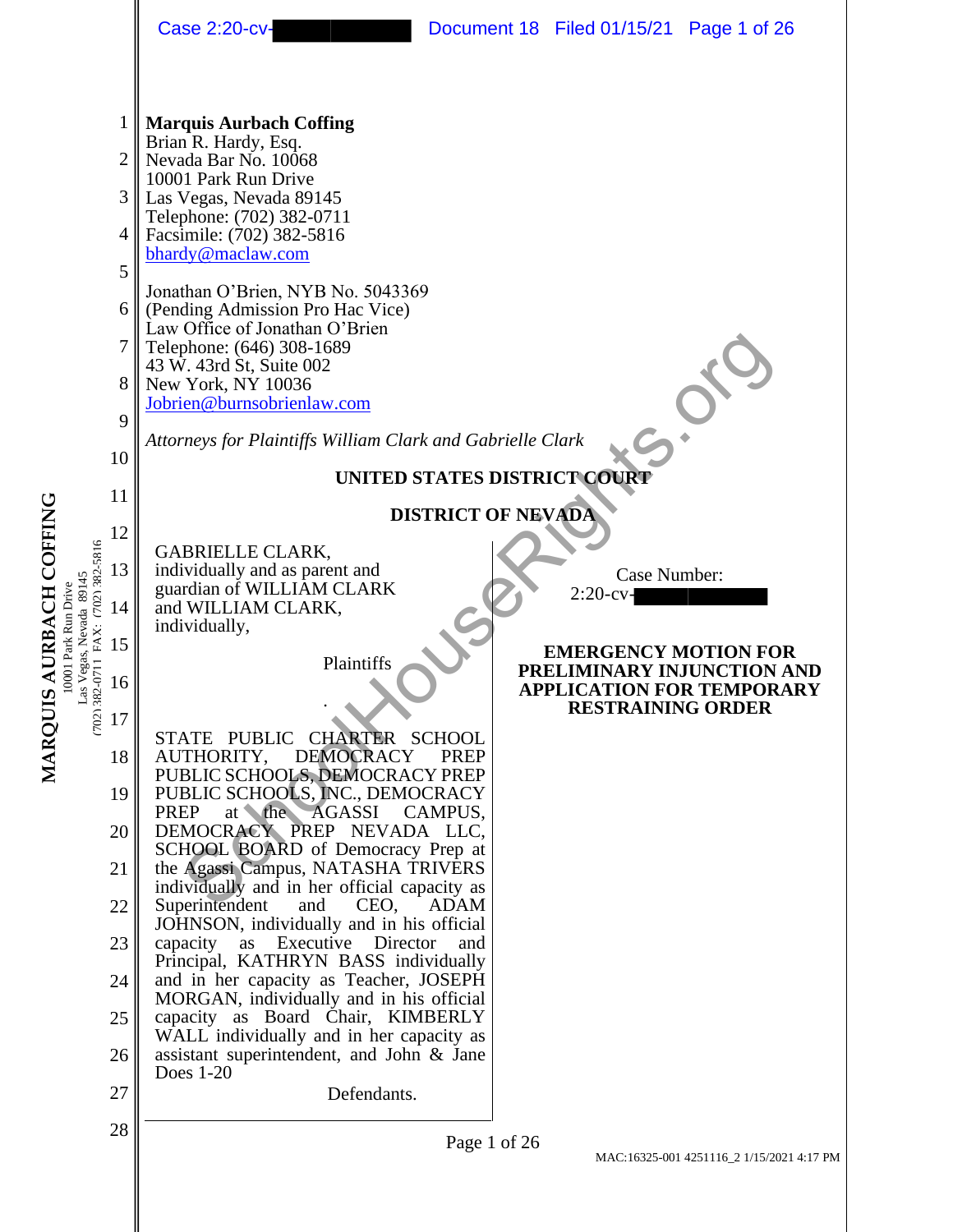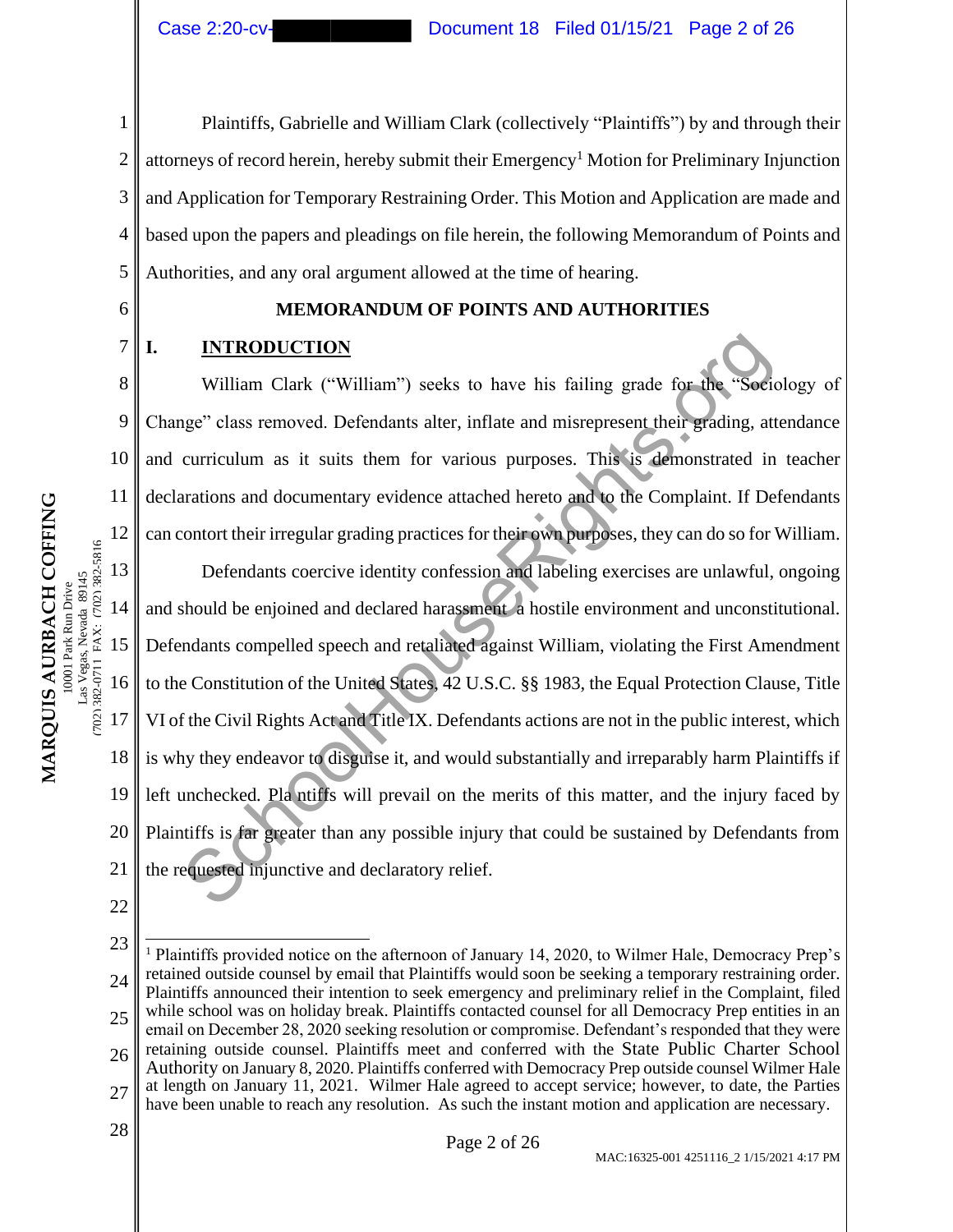1 2 3 4 5 Plaintiffs, Gabrielle and William Clark (collectively "Plaintiffs") by and through their attorneys of record herein, hereby submit their  $\rm{Emergency}^1$  Motion for Preliminary Injunction and Application for Temporary Restraining Order. This Motion and Application are made and based upon the papers and pleadings on file herein, the following Memorandum of Points and Authorities, and any oral argument allowed at the time of hearing.

6

7

8

9

10

11

12

# **MEMORANDUM OF POINTS AND AUTHORITIES**

# **I. INTRODUCTION**

William Clark ("William") seeks to have his failing grade for the "Sociology of Change" class removed. Defendants alter, inflate and misrepresent their grading, attendance and curriculum as it suits them for various purposes. This is demonstrated in teacher declarations and documentary evidence attached hereto and to the Complaint. If Defendants can contort their irregular grading practices for their own purposes, they can do so for William.

13 14 15 16 17 18 19 20 21 Defendants coercive identity confession and labeling exercises are unlawful, ongoing and should be enjoined and declared harassment a hostile environment and unconstitutional. Defendants compelled speech and retaliated against William, violating the First Amendment to the Constitution of the United States, 42 U.S.C. §§ 1983, the Equal Protection Clause, Title VI of the Civil Rights Act and Title IX. Defendants actions are not in the public interest, which is why they endeavor to disguise it, and would substantially and irreparably harm Plaintiffs if left unchecked*.* Pla ntiffs will prevail on the merits of this matter, and the injury faced by Plaintiffs is far greater than any possible injury that could be sustained by Defendants from the requested injunctive and declaratory relief. INTRODUCTION<br>William Clark ("William") seeks to have his failing grade for the "Sociage" class removed. Defendants alter, inflate and misrepresent their grading, att<br>curriculum as it suits them for various purposes. This i

- 22
- 23 24 25 26 27  $\begin{array}{c|c}\n 28 & \text{Page 2 of 26}\n \end{array}$ <sup>1</sup> Plaintiffs provided notice on the afternoon of January 14, 2020, to Wilmer Hale, Democracy Prep's retained outside counsel by email that Plaintiffs would soon be seeking a temporary restraining order. Plaintiffs announced their intention to seek emergency and preliminary relief in the Complaint, filed while school was on holiday break. Plaintiffs contacted counsel for all Democracy Prep entities in an email on December 28, 2020 seeking resolution or compromise. Defendant's responded that they were retaining outside counsel. Plaintiffs meet and conferred with the State Public Charter School Authority on January 8, 2020. Plaintiffs conferred with Democracy Prep outside counsel Wilmer Hale at length on January 11, 2021. Wilmer Hale agreed to accept service; however, to date, the Parties have been unable to reach any resolution. As such the instant motion and application are necessary.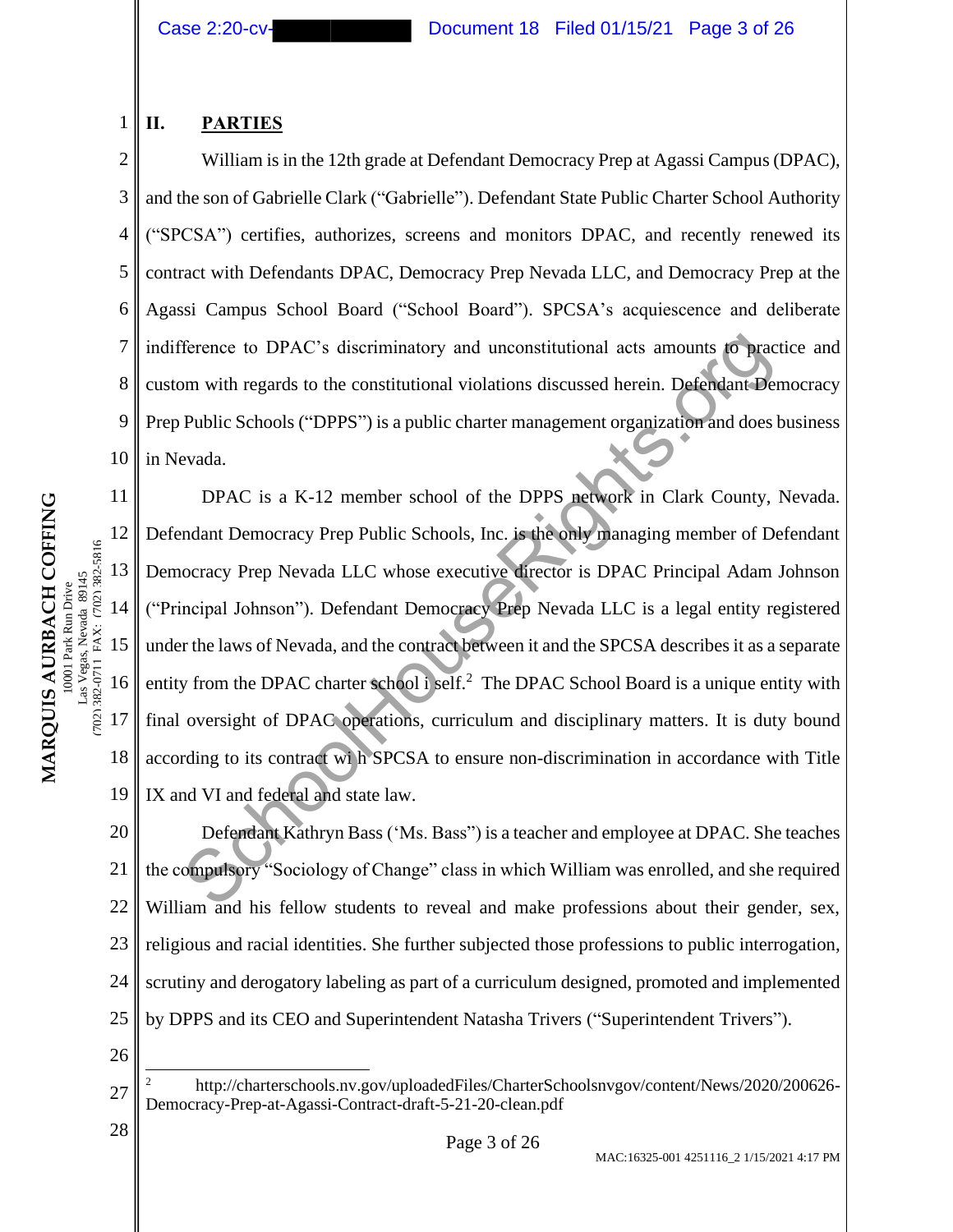# **II. PARTIES**

1

2 3 4 5 6 7 8 9 10 William is in the 12th grade at Defendant Democracy Prep at Agassi Campus (DPAC), and the son of Gabrielle Clark ("Gabrielle"). Defendant State Public Charter School Authority ("SPCSA") certifies, authorizes, screens and monitors DPAC, and recently renewed its contract with Defendants DPAC, Democracy Prep Nevada LLC, and Democracy Prep at the Agassi Campus School Board ("School Board"). SPCSA's acquiescence and deliberate indifference to DPAC's discriminatory and unconstitutional acts amounts to practice and custom with regards to the constitutional violations discussed herein. Defendant Democracy Prep Public Schools ("DPPS") is a public charter management organization and does business in Nevada.

11 12 13 14 15 16 17 18 19 DPAC is a K-12 member school of the DPPS network in Clark County, Nevada. Defendant Democracy Prep Public Schools, Inc. is the only managing member of Defendant Democracy Prep Nevada LLC whose executive director is DPAC Principal Adam Johnson ("Principal Johnson"). Defendant Democracy Prep Nevada LLC is a legal entity registered under the laws of Nevada, and the contract between it and the SPCSA describes it as a separate entity from the DPAC charter school i self.<sup>2</sup> The DPAC School Board is a unique entity with final oversight of DPAC operations, curriculum and disciplinary matters. It is duty bound according to its contract wi h SPCSA to ensure non-discrimination in accordance with Title IX and VI and federal and state law. Ference to DPAC's discriminatory and unconstitutional acts amounts to prace of the read of the constitutional violations discussed herein. Defendant Here Public Schools ("DPPS") is a public charter management organization

20 21 22 23 24 25 Defendant Kathryn Bass ('Ms. Bass") is a teacher and employee at DPAC. She teaches the compulsory "Sociology of Change" class in which William was enrolled, and she required William and his fellow students to reveal and make professions about their gender, sex, religious and racial identities. She further subjected those professions to public interrogation, scrutiny and derogatory labeling as part of a curriculum designed, promoted and implemented by DPPS and its CEO and Superintendent Natasha Trivers ("Superintendent Trivers").

26

 $\begin{array}{c|c}\n 28 & \text{Page 3 of 26}\n \end{array}$ 

(702) 382-0711 FAX: (702) 382-5816

702) 382-0711 FAX: (702) 382-5816

<sup>27</sup> <sup>2</sup> http://charterschools.nv.gov/uploadedFiles/CharterSchoolsnvgov/content/News/2020/200626- Democracy-Prep-at-Agassi-Contract-draft-5-21-20-clean.pdf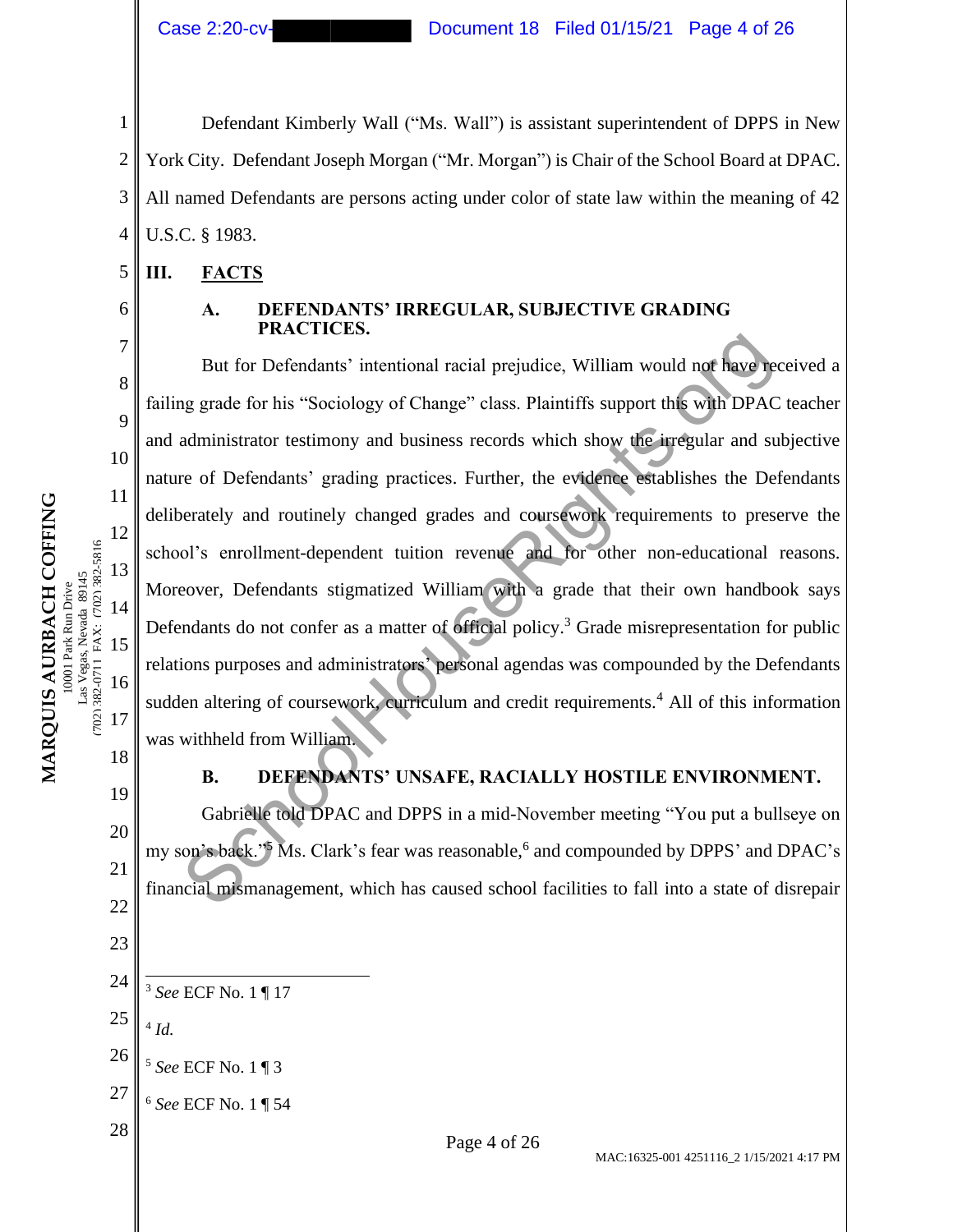Defendant Kimberly Wall ("Ms. Wall") is assistant superintendent of DPPS in New York City. Defendant Joseph Morgan ("Mr. Morgan") is Chair of the School Board at DPAC. All named Defendants are persons acting under color of state law within the meaning of 42 U.S.C. § 1983.

#### 5 **III. FACTS**

6 7

8

9

10

11

12

13

14

15

Las Vegas, Nevada 89145<br>7023 382-0711 FAX: (702) 382-5816 0001 Park Run Drive

**MARQUIS AURBACH COFFING** 10001 Park Run Drive Las Vegas, Nevada 89145 (702) 382-0711 FAX: (702) 382-5816

MARQUIS AURBACH COFFING

16

17

19

20

21

22

23

1

2

3

4

#### **A. DEFENDANTS' IRREGULAR, SUBJECTIVE GRADING PRACTICES.**

But for Defendants' intentional racial prejudice, William would not have received a failing grade for his "Sociology of Change" class. Plaintiffs support this with DPAC teacher and administrator testimony and business records which show the irregular and subjective nature of Defendants' grading practices. Further, the evidence establishes the Defendants deliberately and routinely changed grades and coursework requirements to preserve the school's enrollment-dependent tuition revenue and for other non-educational reasons. Moreover, Defendants stigmatized William with a grade that their own handbook says Defendants do not confer as a matter of official policy.<sup>3</sup> Grade misrepresentation for public relations purposes and administrators' personal agendas was compounded by the Defendants sudden altering of coursework, curriculum and credit requirements.<sup>4</sup> All of this information was withheld from William. **EXECUTE:** Here is interiored and prejudice, William would not have not<br>g grade for his "Sociology of Change" class. Plaintiffs support this with DPAC<br>administrator testimony and business records which hole integralar and

18

# **B. DEFENDANTS' UNSAFE, RACIALLY HOSTILE ENVIRONMENT.**

Gabrielle told DPAC and DPPS in a mid-November meeting "You put a bullseye on my son's back."<sup>5</sup> Ms. Clark's fear was reasonable,<sup>6</sup> and compounded by DPPS' and DPAC's financial mismanagement, which has caused school facilities to fall into a state of disrepair

- 24 <sup>3</sup> *See* ECF No. 1 ¶ 17
- 25 4 *Id.*
- 26 <sup>5</sup> *See* ECF No. 1 ¶ 3
- 27 <sup>6</sup> *See* ECF No. 1 ¶ 54
-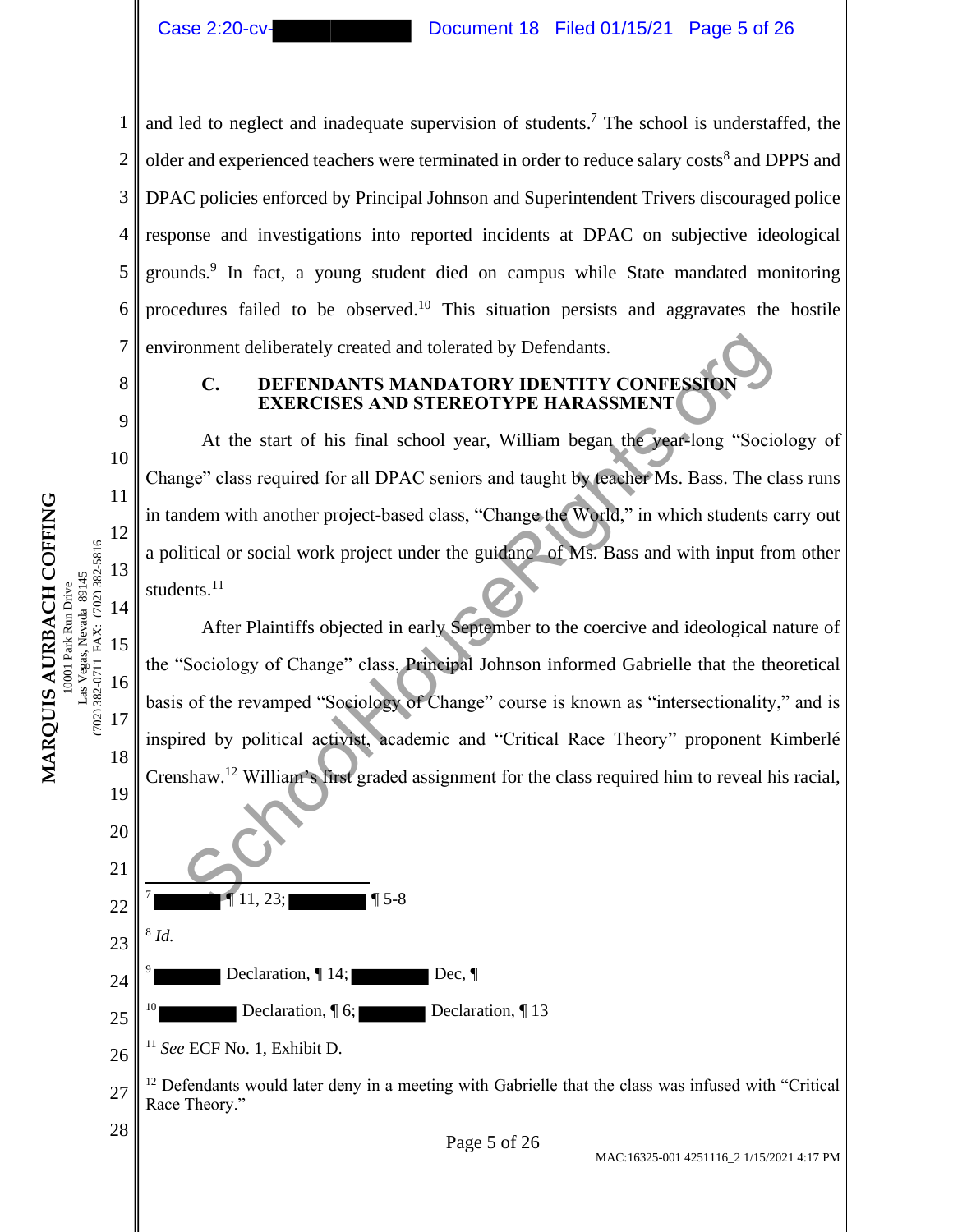1 2 3 4 5 6 7 and led to neglect and inadequate supervision of students. <sup>7</sup> The school is understaffed, the older and experienced teachers were terminated in order to reduce salary costs<sup>8</sup> and DPPS and DPAC policies enforced by Principal Johnson and Superintendent Trivers discouraged police response and investigations into reported incidents at DPAC on subjective ideological grounds.<sup>9</sup> In fact, a young student died on campus while State mandated monitoring procedures failed to be observed.<sup>10</sup> This situation persists and aggravates the hostile environment deliberately created and tolerated by Defendants.

8

9

10

11

12

13

14

15

(702) 382-0711 FAX: (702) 382-5816

702) 382-0711 FAX: (702) 382-5816

16

17

18

19

20

21

22

7

9

8 *Id.*

 $[11, 23;$   $\blacksquare$  5-8

<sup>11</sup> *See* ECF No. 1, Exhibit D.

Declaration,  $\P$  14; Dec,  $\P$ 

Declaration,  $\sqrt{\phantom{a}}\,6$ ; Declaration,  $\sqrt{\phantom{a}}\,13$ 

23

24

25

# **C. DEFENDANTS MANDATORY IDENTITY CONFESSION EXERCISES AND STEREOTYPE HARASSMENT**

At the start of his final school year, William began the year-long "Sociology of Change" class required for all DPAC seniors and taught by teacher Ms. Bass. The class runs in tandem with another project-based class, "Change the World," in which students carry out a political or social work project under the guidance of Ms. Bass and with input from other students.<sup>11</sup>

After Plaintiffs objected in early September to the coercive and ideological nature of the "Sociology of Change" class, Principal Johnson informed Gabrielle that the theoretical basis of the revamped "Sociology of Change" course is known as "intersectionality," and is inspired by political activist, academic and "Critical Race Theory" proponent Kimberlé Crenshaw.<sup>12</sup> William's first graded assignment for the class required him to reveal his racial, France deliberately created and tolerated by Defendants.<br>
C. DEFENDANTS MANDATORY IDENTITY CONFESSION<br>
EXERCISES AND STEREOTYPE HARASSMENT<br>
At the start of his final school year, William began the yearlong "Socion<br>
are sta

MARQUIS AURBACH COFFING **MARQUIS AURBACH COFFING** Las Vegas, Nevada 89145 Las Vegas, Nevada 89145 0001 Park Run Drive 10001 Park Run Drive



27  $12$  Defendants would later deny in a meeting with Gabrielle that the class was infused with "Critical" Race Theory."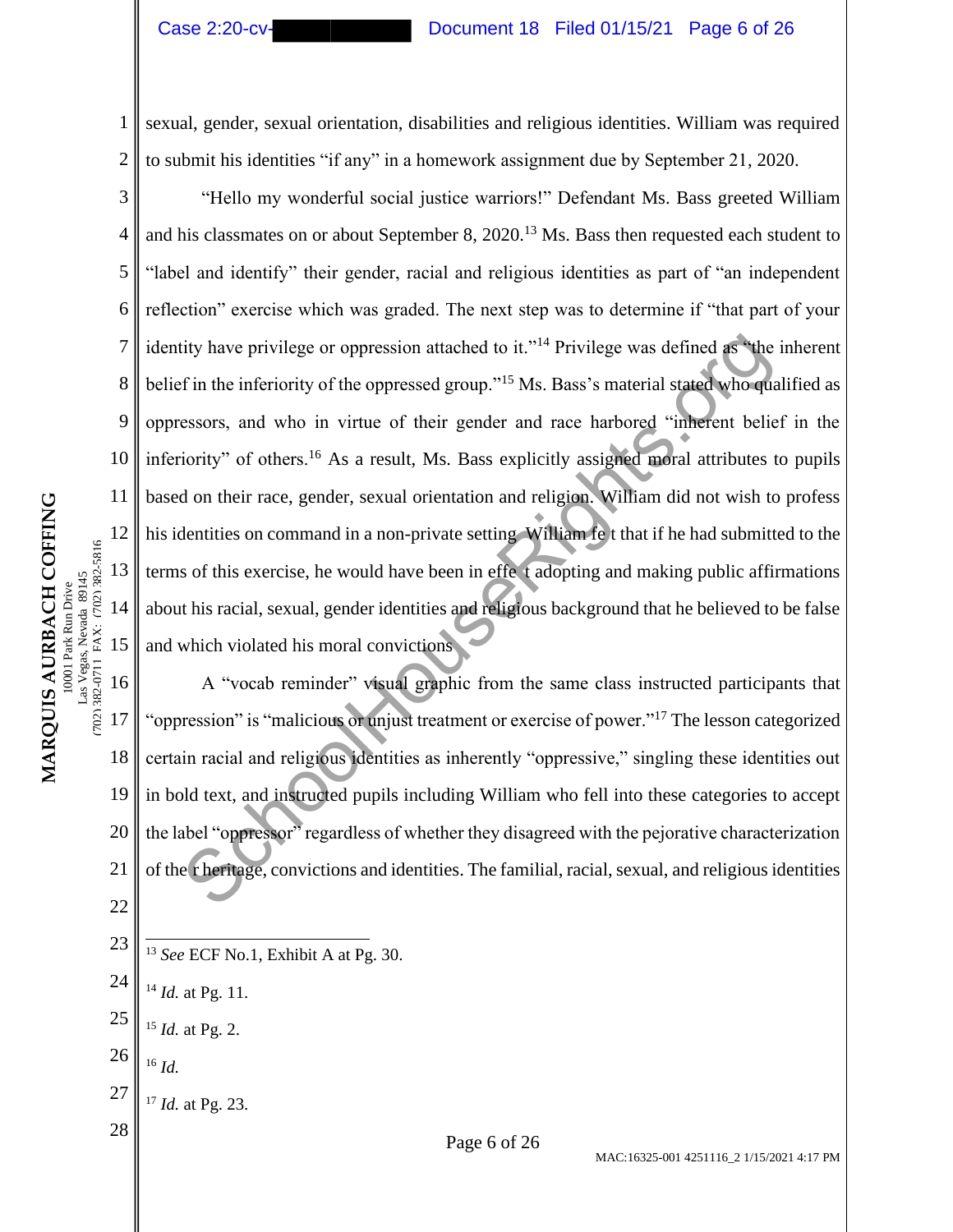2

3

4

5

6

7

8

9

10

11

12

13

14

15

702) 382-0711 FAX: (702) 382-5816 as Vegas, Nevada 89145 0001 Park Run Drive

**MARQUIS AURBACH COFFING** 10001 Park Run Drive Las Vegas, Nevada 89145 (702) 382-0711 FAX: (702) 382-5816

MARQUIS AURBACH COFFING

# Case 2:20-cv- Document 18 Filed 01/15/21 Page 6 of 26

sexual, gender, sexual orientation, disabilities and religious identities. William was required to submit his identities "if any" in a homework assignment due by September 21, 2020.

"Hello my wonderful social justice warriors!" Defendant Ms. Bass greeted William and his classmates on or about September 8, 2020.<sup>13</sup> Ms. Bass then requested each student to "label and identify" their gender, racial and religious identities as part of "an independent reflection" exercise which was graded. The next step was to determine if "that part of your identity have privilege or oppression attached to it."<sup>14</sup> Privilege was defined as "the inherent" belief in the inferiority of the oppressed group."<sup>15</sup> Ms. Bass's material stated who qualified as oppressors, and who in virtue of their gender and race harbored "inherent belief in the inferiority" of others.<sup>16</sup> As a result, Ms. Bass explicitly assigned moral attributes to pupils based on their race, gender, sexual orientation and religion. William did not wish to profess his identities on command in a non-private setting William fe t that if he had submitted to the terms of this exercise, he would have been in effe t adopting and making public affirmations about his racial, sexual, gender identities and religious background that he believed to be false and which violated his moral convictions ity have privilege or oppression attached to it."<sup>14</sup> Privilege was defined as "the f in the inferiority of the oppressed group."<sup>15</sup> Ms. Bass's material stated whoreus essors, and who in virtue of their gender and race ha

16 17 18 19 20 21 22 A "vocab reminder" visual graphic from the same class instructed participants that "oppression" is "malicious or unjust treatment or exercise of power."<sup>17</sup> The lesson categorized certain racial and religious identities as inherently "oppressive," singling these identities out in bold text, and instructed pupils including William who fell into these categories to accept the label "oppressor" regardless of whether they disagreed with the pejorative characterization of the r heritage, convictions and identities. The familial, racial, sexual, and religious identities

23 <sup>13</sup> *See* ECF No.1, Exhibit A at Pg. 30.

- 26 <sup>16</sup> *Id.*
- 27 <sup>17</sup> *Id.* at Pg. 23.
- 

<sup>24</sup> <sup>14</sup> *Id.* at Pg. 11.

<sup>25</sup> <sup>15</sup> *Id.* at Pg. 2.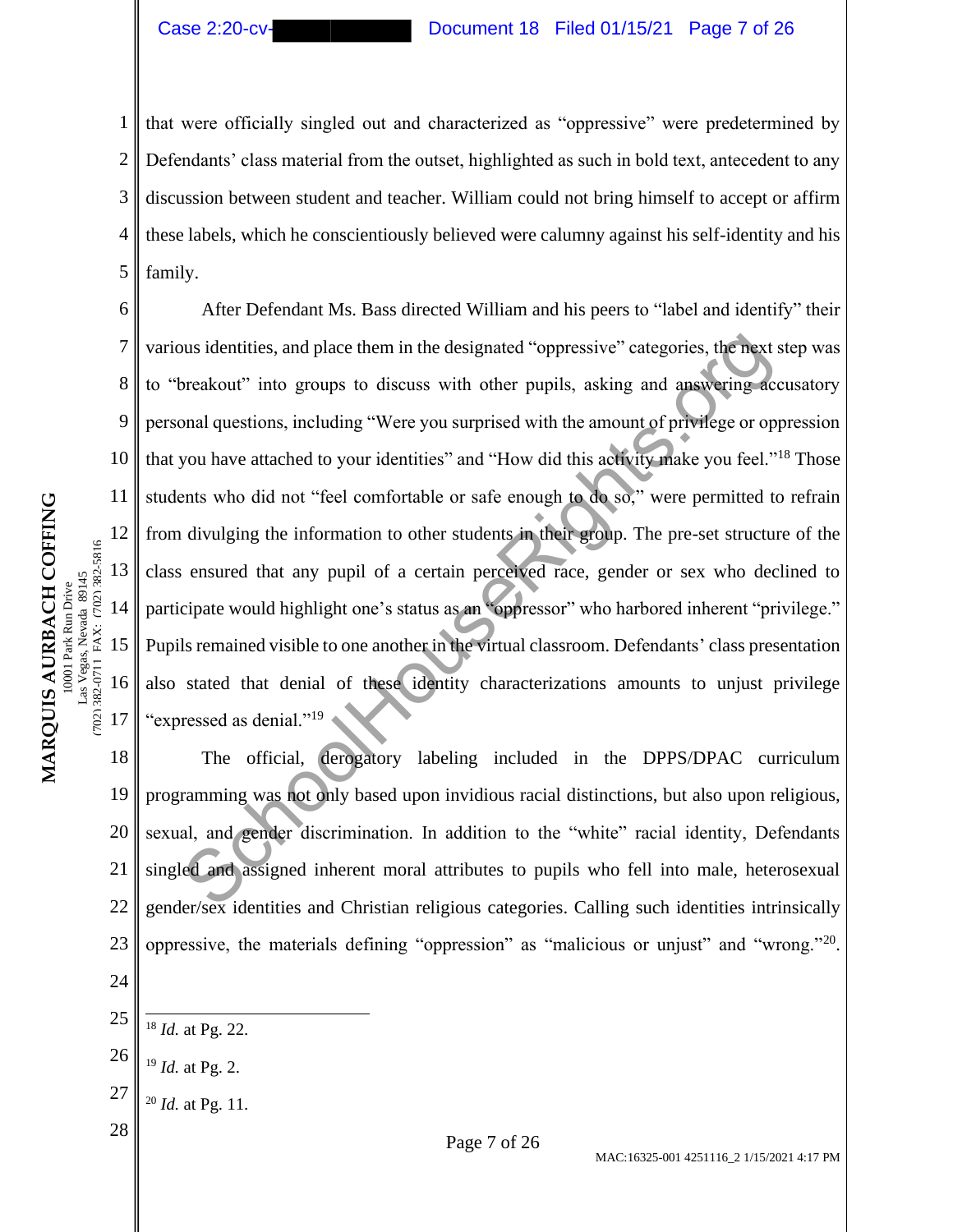1 2 3 4 5 that were officially singled out and characterized as "oppressive" were predetermined by Defendants' class material from the outset, highlighted as such in bold text, antecedent to any discussion between student and teacher. William could not bring himself to accept or affirm these labels, which he conscientiously believed were calumny against his self-identity and his family.

6 10 After Defendant Ms. Bass directed William and his peers to "label and identify" their various identities, and place them in the designated "oppressive" categories, the next step was to "breakout" into groups to discuss with other pupils, asking and answering accusatory personal questions, including "Were you surprised with the amount of privilege or oppression that you have attached to your identities" and "How did this activity make you feel."<sup>18</sup> Those students who did not "feel comfortable or safe enough to do so," were permitted to refrain from divulging the information to other students in their group. The pre-set structure of the class ensured that any pupil of a certain perceived race, gender or sex who declined to participate would highlight one's status as an "oppressor" who harbored inherent "privilege." Pupils remained visible to one another in the virtual classroom. Defendants' class presentation also stated that denial of these identity characterizations amounts to unjust privilege "expressed as denial."<sup>19</sup> ous identities, and place them in the designated "oppressive" categories, the next reakout" into groups to discuss with other pupils, asking and answering according "Were you surprised with the amount of privilege or op yo

18 19 20 21 22 23 24 The official, derogatory labeling included in the DPPS/DPAC curriculum programming was not only based upon invidious racial distinctions, but also upon religious, sexual, and gender discrimination. In addition to the "white" racial identity, Defendants singled and assigned inherent moral attributes to pupils who fell into male, heterosexual gender/sex identities and Christian religious categories. Calling such identities intrinsically oppressive, the materials defining "oppression" as "malicious or unjust" and "wrong."<sup>20</sup>.

- 25 <sup>18</sup> *Id.* at Pg. 22.
- 26 <sup>19</sup> *Id.* at Pg. 2.
- 27 <sup>20</sup> *Id.* at Pg. 11.
- 

7

8

9

11

12

13

14

15

(702) 382-0711 FAX: (702) 382-5816

16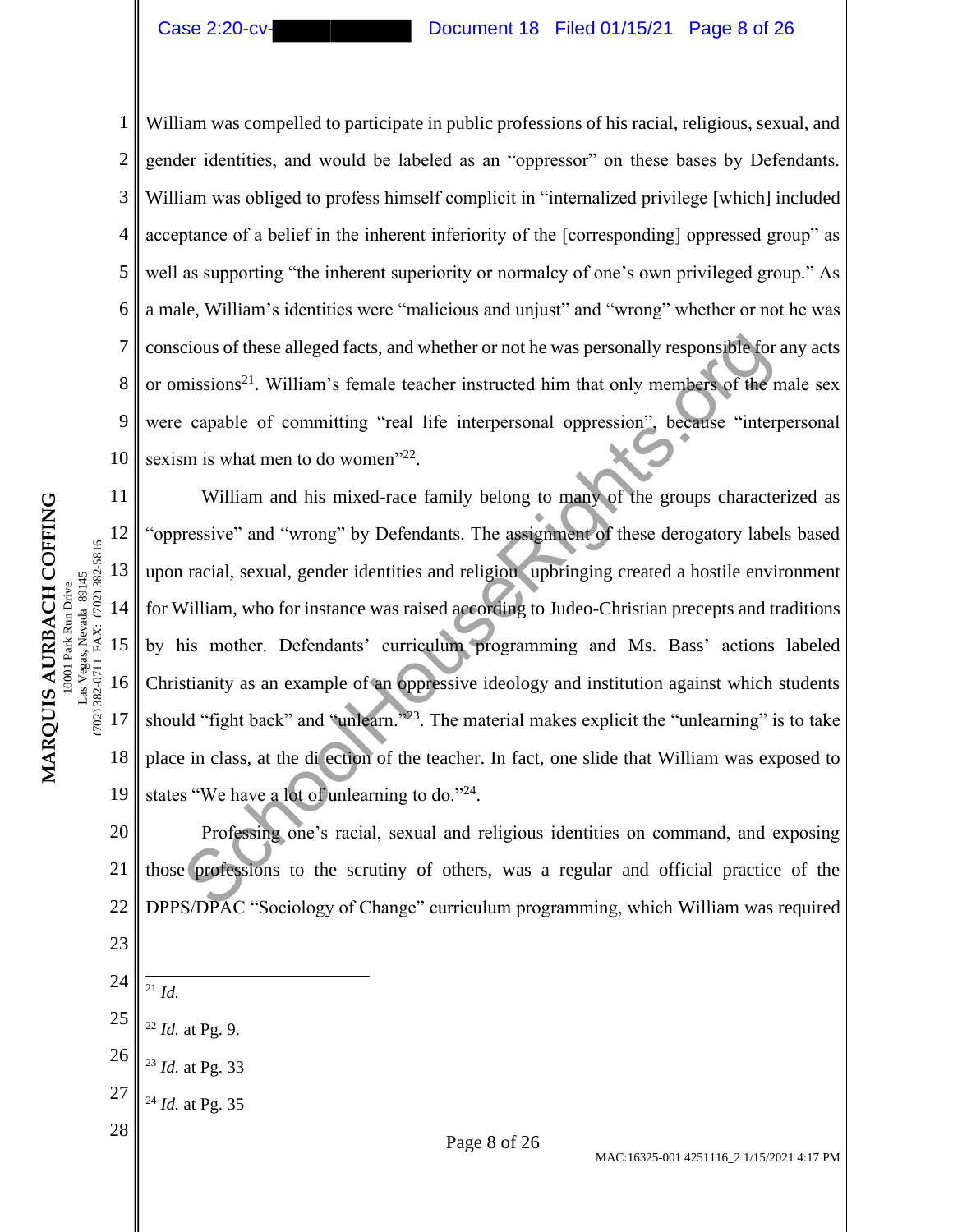2

3

4

5

7

8

9

10

**MARQUIS AURBACH COFFING** 10001 Park Run Drive Las Vegas, Nevada 89145 (702) 382-0711 FAX: (702) 382-5816

702) 382-0711 FAX: (702) 382-5816 as Vegas, Nevada 89145 0001 Park Run Drive

MARQUIS AURBACH COFFING

6 William was compelled to participate in public professions of his racial, religious, sexual, and gender identities, and would be labeled as an "oppressor" on these bases by Defendants. William was obliged to profess himself complicit in "internalized privilege [which] included acceptance of a belief in the inherent inferiority of the [corresponding] oppressed group" as well as supporting "the inherent superiority or normalcy of one's own privileged group." As a male, William's identities were "malicious and unjust" and "wrong" whether or not he was conscious of these alleged facts, and whether or not he was personally responsible for any acts or omissions<sup>21</sup>. William's female teacher instructed him that only members of the male sex were capable of committing "real life interpersonal oppression", because "interpersonal sexism is what men to do women"<sup>22</sup>.

11 12 13 14 15 16 17 18 19 William and his mixed-race family belong to many of the groups characterized as "oppressive" and "wrong" by Defendants. The assignment of these derogatory labels based upon racial, sexual, gender identities and religiou upbringing created a hostile environment for William, who for instance was raised according to Judeo-Christian precepts and traditions by his mother. Defendants' curriculum programming and Ms. Bass' actions labeled Christianity as an example of an oppressive ideology and institution against which students should "fight back" and "unlearn."<sup>23</sup>. The material makes explicit the "unlearning" is to take place in class, at the di ection of the teacher. In fact, one slide that William was exposed to states "We have a lot of unlearning to do."24. cious of these alleged facts, and whether or not he was personally responsible for<br>missions<sup>21</sup>. William's female teacher instructed him that only members of the r<br>capable of committing "real life interpersonal oppression

20 21 22 Professing one's racial, sexual and religious identities on command, and exposing those professions to the scrutiny of others, was a regular and official practice of the DPPS/DPAC "Sociology of Change" curriculum programming, which William was required

24

- <sup>21</sup> *Id.*
- 25 <sup>22</sup> *Id.* at Pg. 9.
- 26 <sup>23</sup> *Id.* at Pg. 33
- 27 <sup>24</sup> *Id.* at Pg. 35
-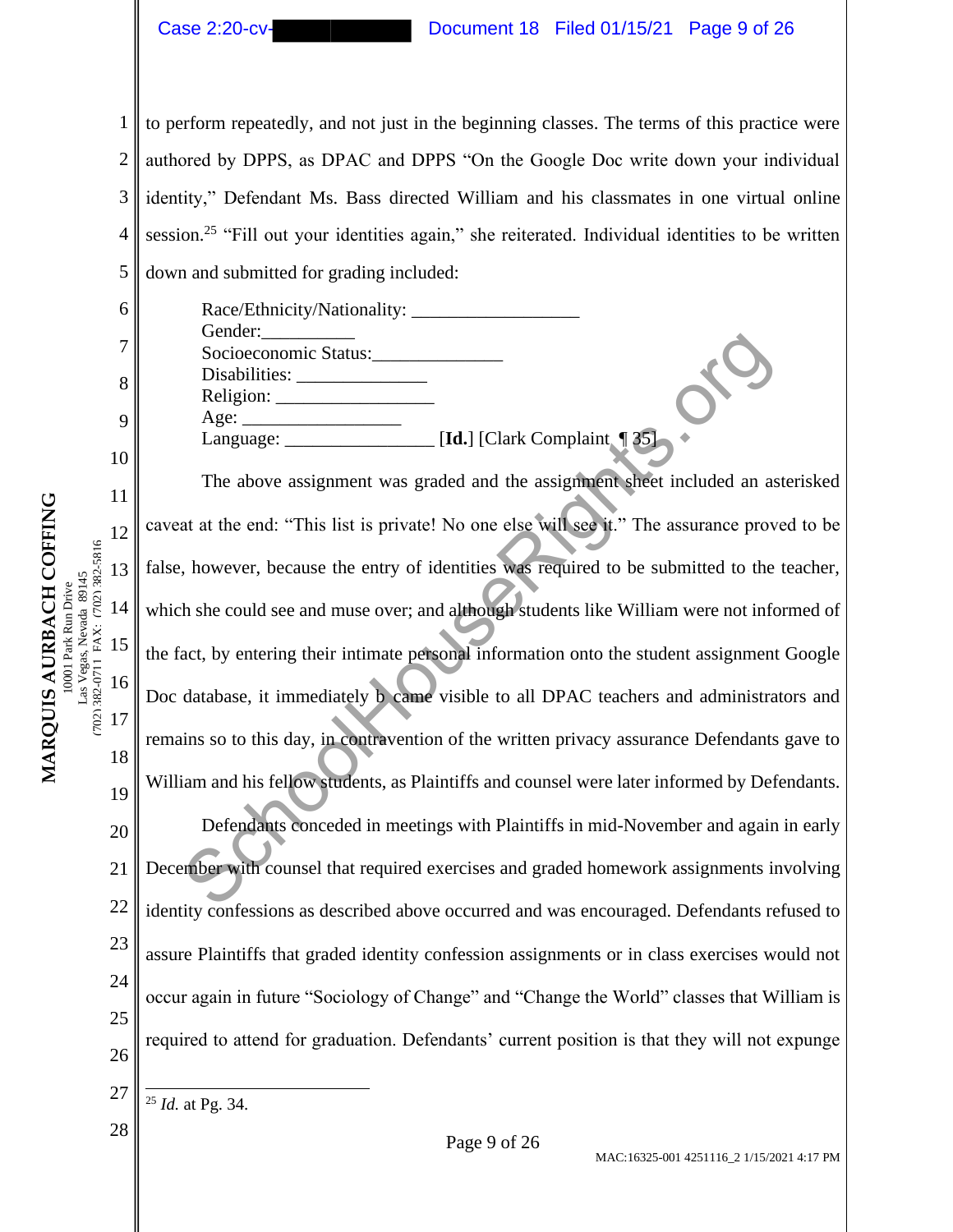| Case 2:20-c |  |
|-------------|--|
|             |  |

# Document  $18$  Filed 01/15/21 Page 9 of 26

1 2 3 4 5 to perform repeatedly, and not just in the beginning classes. The terms of this practice were authored by DPPS, as DPAC and DPPS "On the Google Doc write down your individual identity," Defendant Ms. Bass directed William and his classmates in one virtual online session.<sup>25</sup> "Fill out your identities again," she reiterated. Individual identities to be written down and submitted for grading included:

MARQUIS AURBACH COFFING **MARQUIS AURBACH COFFING** 702) 382-0711 FAX: (702) 382-5816 as Vegas, Nevada 89145 Las Vegas, Nevada 89145 0001 Park Run Drive 10001 Park Run Drive

(702) 382-0711 FAX: (702) 382-5816

6 7 8 9 10 11 12 13 14 15 16 17 18 19 20 21 22 23 24 25 26 Race/Ethnicity/Nationality: Gender: Socioeconomic Status: Disabilities: Religion: Age: Language: **[Id.**] [Clark Complaint **[** 35] The above assignment was graded and the assignment sheet included an asterisked caveat at the end: "This list is private! No one else will see it." The assurance proved to be false, however, because the entry of identities was required to be submitted to the teacher, which she could see and muse over; and although students like William were not informed of the fact, by entering their intimate personal information onto the student assignment Google Doc database, it immediately b came visible to all DPAC teachers and administrators and remains so to this day, in contravention of the written privacy assurance Defendants gave to William and his fellow students, as Plaintiffs and counsel were later informed by Defendants. Defendants conceded in meetings with Plaintiffs in mid-November and again in early December with counsel that required exercises and graded homework assignments involving identity confessions as described above occurred and was encouraged. Defendants refused to assure Plaintiffs that graded identity confession assignments or in class exercises would not occur again in future "Sociology of Change" and "Change the World" classes that William is required to attend for graduation. Defendants' current position is that they will not expunge SchoolHouseRights.org

<sup>25</sup> *Id.* at Pg. 34.

<sup>27</sup>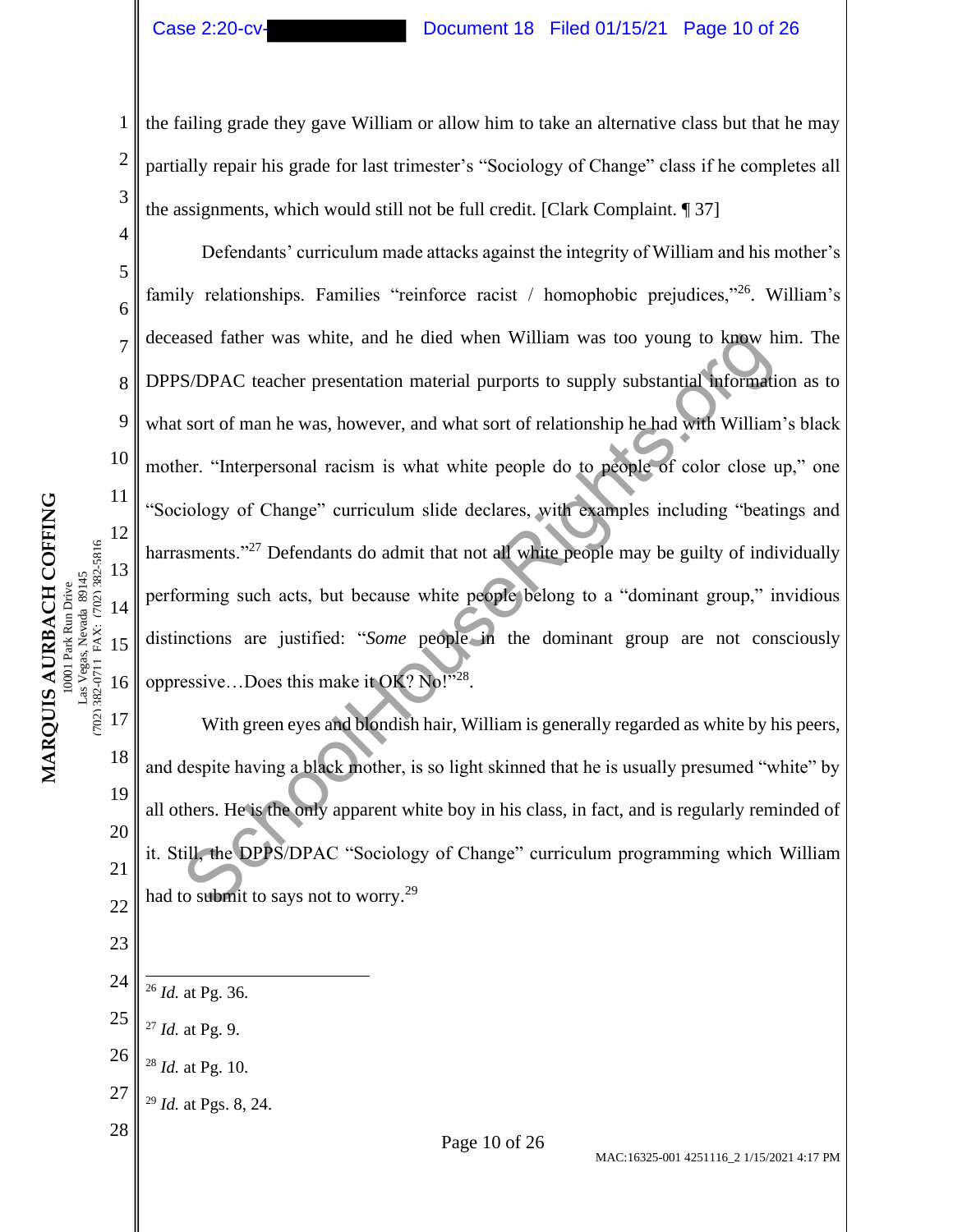2

3

4

5

6

7

8

9

10

11

12

13

14

15

Las Vegas, Nevada 89145<br>7021 382-0711 FAX:  $(702)$  382-5816 0001 Park Run Drive

**MARQUIS AURBACH COFFING** 10001 Park Run Drive Las Vegas, Nevada 89145 (702) 382-0711 FAX: (702) 382-5816

MARQUIS AURBACH COFFING

16

17

18

19

20

21

22

23

#### Case 2:20-cv- Document 18 Filed 01/15/21 Page 10 of 26

the failing grade they gave William or allow him to take an alternative class but that he may partially repair his grade for last trimester's "Sociology of Change" class if he completes all the assignments, which would still not be full credit. [Clark Complaint. ¶ 37]

Defendants' curriculum made attacks against the integrity of William and his mother's family relationships. Families "reinforce racist / homophobic prejudices,"<sup>26</sup>. William's deceased father was white, and he died when William was too young to know him. The DPPS/DPAC teacher presentation material purports to supply substantial information as to what sort of man he was, however, and what sort of relationship he had with William's black mother. "Interpersonal racism is what white people do to people of color close up," one "Sociology of Change" curriculum slide declares, with examples including "beatings and harrasments."<sup>27</sup> Defendants do admit that not all white people may be guilty of individually performing such acts, but because white people belong to a "dominant group," invidious distinctions are justified: "*Some* people in the dominant group are not consciously oppressive...Does this make it OK? No!"28. ased father was white, and he died when William was too young to know h<br>S/DPAC teacher presentation material purports to supply substantial information<br>for the manner and what sort of relationship he had with William<br>ter.

With green eyes and blondish hair, William is generally regarded as white by his peers, and despite having a black mother, is so light skinned that he is usually presumed "white" by all others. He is the only apparent white boy in his class, in fact, and is regularly reminded of it. Still, the DPPS/DPAC "Sociology of Change" curriculum programming which William had to submit to says not to worry.<sup>29</sup>

- 24 <sup>26</sup> *Id.* at Pg. 36.
- 25 <sup>27</sup> *Id.* at Pg. 9.
- 26 <sup>28</sup> *Id.* at Pg. 10.
- 27 <sup>29</sup> *Id.* at Pgs. 8, 24.
-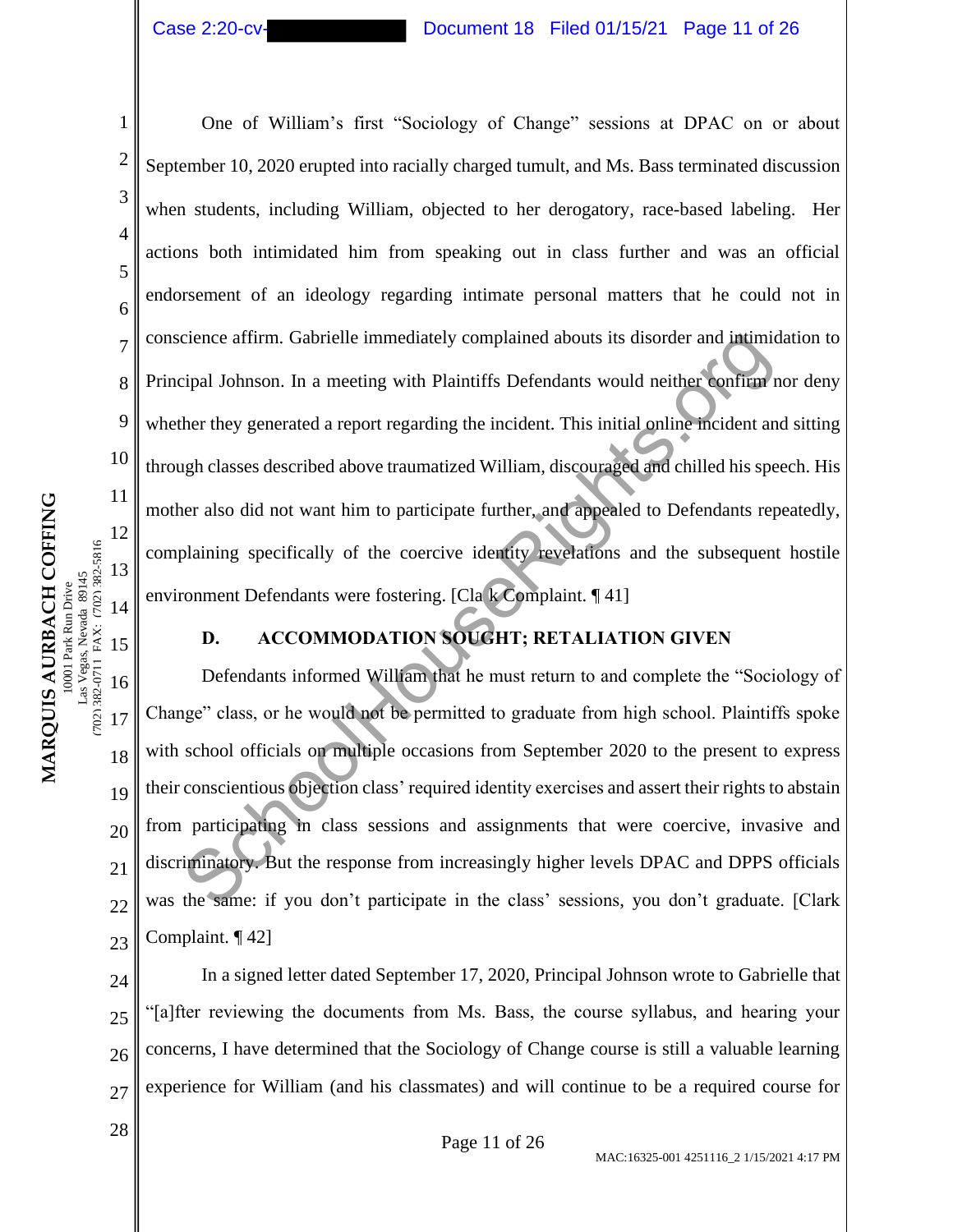2

3

4

5

6

7

8

9

10

11

12

13

14

15

(702) 382-0711 FAX: (702) 382-5816

702) 382-0711 FAX: (702) 382-5816

16

17

18

19

20

21

22

23

# Case 2:20-cv- Document 18 Filed 01/15/21 Page 11 of 26

One of William's first "Sociology of Change" sessions at DPAC on or about September 10, 2020 erupted into racially charged tumult, and Ms. Bass terminated discussion when students, including William, objected to her derogatory, race-based labeling. Her actions both intimidated him from speaking out in class further and was an official endorsement of an ideology regarding intimate personal matters that he could not in conscience affirm. Gabrielle immediately complained abouts its disorder and intimidation to Principal Johnson. In a meeting with Plaintiffs Defendants would neither confirm nor deny whether they generated a report regarding the incident. This initial online incident and sitting through classes described above traumatized William, discouraged and chilled his speech. His mother also did not want him to participate further, and appealed to Defendants repeatedly, complaining specifically of the coercive identity revelations and the subsequent hostile environment Defendants were fostering. [Cla k Complaint. ¶ 41] cience affirm. Gabrielle immediately complained abouts its disorder and intimicipal Johnson. In a meeting with Plaintiffs Defendants would neither confirent ther they generated a report regarding the incident. This initial

# **D. ACCOMMODATION SOUGHT; RETALIATION GIVEN**

Defendants informed William that he must return to and complete the "Sociology of Change" class, or he would not be permitted to graduate from high school. Plaintiffs spoke with school officials on multiple occasions from September 2020 to the present to express their conscientious objection class' required identity exercises and assert their rights to abstain from participating in class sessions and assignments that were coercive, invasive and discriminatory. But the response from increasingly higher levels DPAC and DPPS officials was the same: if you don't participate in the class' sessions, you don't graduate. [Clark Complaint. ¶ 42]

24 25 26 27 In a signed letter dated September 17, 2020, Principal Johnson wrote to Gabrielle that "[a]fter reviewing the documents from Ms. Bass, the course syllabus, and hearing your concerns, I have determined that the Sociology of Change course is still a valuable learning experience for William (and his classmates) and will continue to be a required course for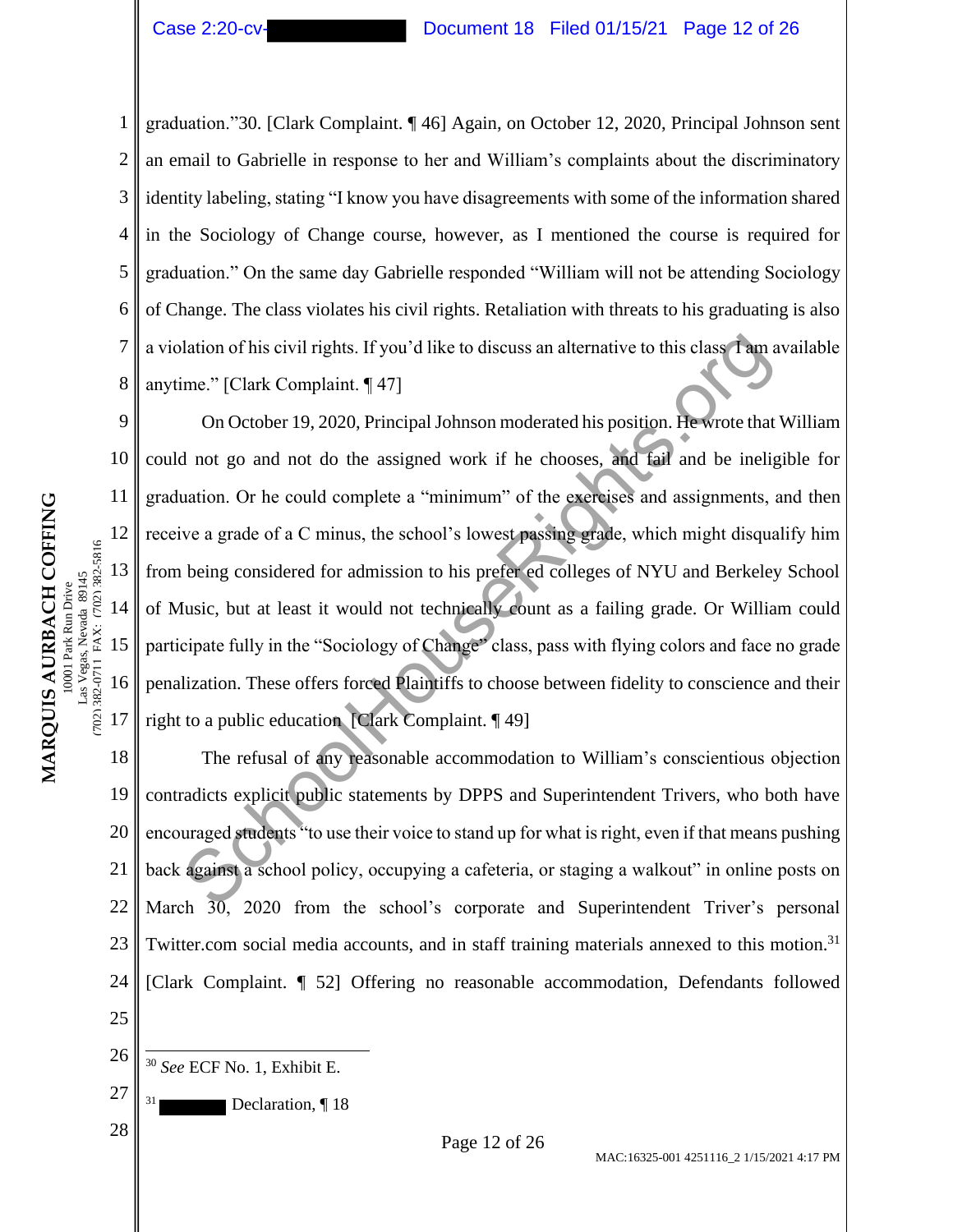1 2 3 4 5 6 7 8 graduation."30. [Clark Complaint. ¶ 46] Again, on October 12, 2020, Principal Johnson sent an email to Gabrielle in response to her and William's complaints about the discriminatory identity labeling, stating "I know you have disagreements with some of the information shared in the Sociology of Change course, however, as I mentioned the course is required for graduation." On the same day Gabrielle responded "William will not be attending Sociology of Change. The class violates his civil rights. Retaliation with threats to his graduating is also a violation of his civil rights. If you'd like to discuss an alternative to this class I am available anytime." [Clark Complaint. ¶ 47]

On October 19, 2020, Principal Johnson moderated his position. He wrote that William could not go and not do the assigned work if he chooses, and fail and be ineligible for graduation. Or he could complete a "minimum" of the exercises and assignments, and then receive a grade of a C minus, the school's lowest passing grade, which might disqualify him from being considered for admission to his prefer ed colleges of NYU and Berkeley School of Music, but at least it would not technically count as a failing grade. Or William could participate fully in the "Sociology of Change" class, pass with flying colors and face no grade penalization. These offers forced Plaintiffs to choose between fidelity to conscience and their right to a public education [Clark Complaint. ¶ 49] lation of his civil rights. If you'd like to discuss an alternative to this class **Tam**<br>
ime." [Clark Complaint. 147]<br>
On October 19, 2020, Principal Johnson moderated his position. He wrote that<br>
1 not go and not do the a

18 19 20 21 22 23 24 25 The refusal of any reasonable accommodation to William's conscientious objection contradicts explicit public statements by DPPS and Superintendent Trivers, who both have encouraged students "to use their voice to stand up for what is right, even if that means pushing back against a school policy, occupying a cafeteria, or staging a walkout" in online posts on March 30, 2020 from the school's corporate and Superintendent Triver's personal Twitter.com social media accounts, and in staff training materials annexed to this motion.<sup>31</sup> [Clark Complaint. ¶ 52] Offering no reasonable accommodation, Defendants followed

26 <sup>30</sup> *See* ECF No. 1, Exhibit E.

Declaration, 18

9

10

11

12

13

14

15

16

17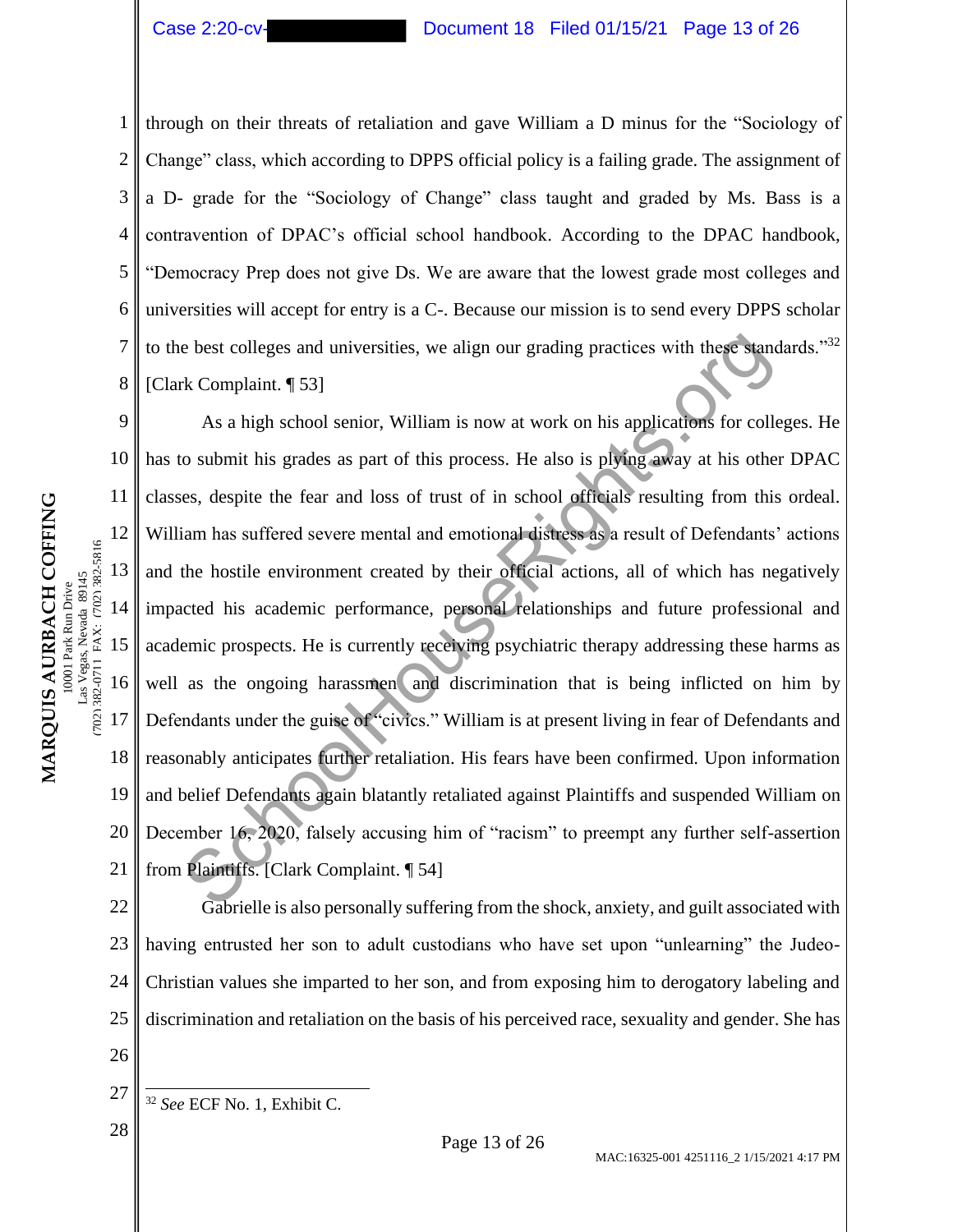2

3

4

5

6

7

8

# Case 2:20-cv- Document 18 Filed 01/15/21 Page 13 of 26

through on their threats of retaliation and gave William a D minus for the "Sociology of Change" class, which according to DPPS official policy is a failing grade. The assignment of a D- grade for the "Sociology of Change" class taught and graded by Ms. Bass is a contravention of DPAC's official school handbook. According to the DPAC handbook, "Democracy Prep does not give Ds. We are aware that the lowest grade most colleges and universities will accept for entry is a C-. Because our mission is to send every DPPS scholar to the best colleges and universities, we align our grading practices with these standards." $32$ [Clark Complaint. ¶ 53]

9 10 11 12 13 14 15 16 17 18 19 20 21 As a high school senior, William is now at work on his applications for colleges. He has to submit his grades as part of this process. He also is plying away at his other DPAC classes, despite the fear and loss of trust of in school officials resulting from this ordeal. William has suffered severe mental and emotional distress as a result of Defendants' actions and the hostile environment created by their official actions, all of which has negatively impacted his academic performance, personal relationships and future professional and academic prospects. He is currently receiving psychiatric therapy addressing these harms as well as the ongoing harassmen and discrimination that is being inflicted on him by Defendants under the guise of "civics." William is at present living in fear of Defendants and reasonably anticipates further retaliation. His fears have been confirmed. Upon information and belief Defendants again blatantly retaliated against Plaintiffs and suspended William on December 16, 2020, falsely accusing him of "racism" to preempt any further self-assertion from Plaintiffs. [Clark Complaint. ¶ 54] be best colleges and universities, we align our grading practices with these stance with these stance with same in the stance of collections and a stance of collections in this grades as part of this process. He also is pl

22 23 24 25 26 Gabrielle is also personally suffering from the shock, anxiety, and guilt associated with having entrusted her son to adult custodians who have set upon "unlearning" the Judeo-Christian values she imparted to her son, and from exposing him to derogatory labeling and discrimination and retaliation on the basis of his perceived race, sexuality and gender. She has

- 27 <sup>32</sup> *See* ECF No. 1, Exhibit C.
- 28 **Page 13 of 26**

(702) 382-0711 FAX: (702) 382-5816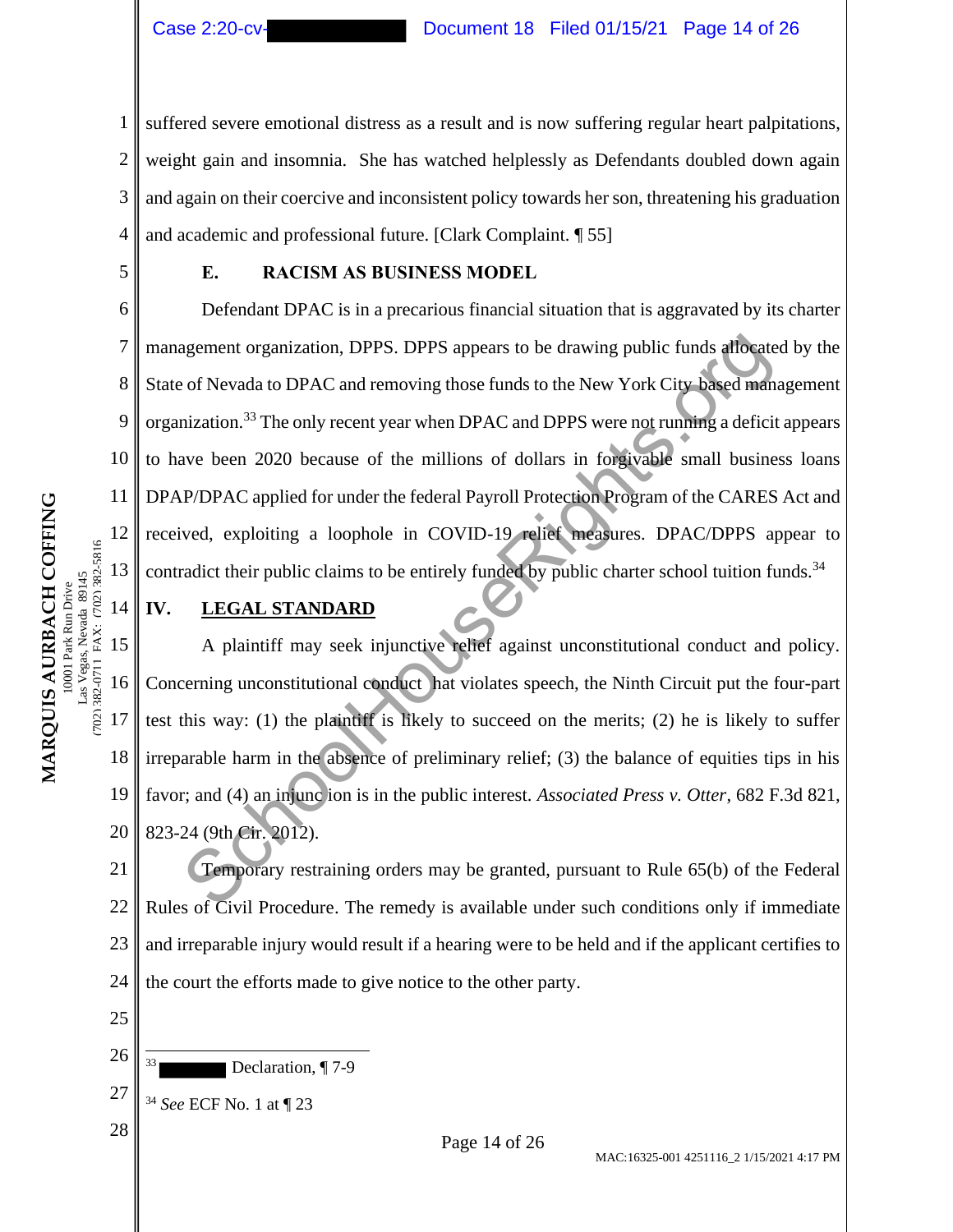1 2 3 4 suffered severe emotional distress as a result and is now suffering regular heart palpitations, weight gain and insomnia. She has watched helplessly as Defendants doubled down again and again on their coercive and inconsistent policy towards her son, threatening his graduation and academic and professional future. [Clark Complaint. ¶ 55]

5

7

8

9

10

11

12

13

14

(702) 382-0711 FAX: (702) 382-5816

702) 382-0711 FAX: (702) 382-5816

25

26

27

# **E. RACISM AS BUSINESS MODEL**

6 Defendant DPAC is in a precarious financial situation that is aggravated by its charter management organization, DPPS. DPPS appears to be drawing public funds allocated by the State of Nevada to DPAC and removing those funds to the New York City based management organization.<sup>33</sup> The only recent year when DPAC and DPPS were not running a deficit appears to have been 2020 because of the millions of dollars in forgivable small business loans DPAP/DPAC applied for under the federal Payroll Protection Program of the CARES Act and received, exploiting a loophole in COVID-19 relief measures. DPAC/DPPS appear to contradict their public claims to be entirely funded by public charter school tuition funds.<sup>34</sup> agement organization, DPPS. DPPS appears to be drawing public funds affocate<br>of Nevada to DPAC and removing those funds to the New York City based man-<br>mization.<sup>33</sup> The only recent year when DPAC and DPPS were not running

# **IV. LEGAL STANDARD**

15 16 17 18 19 20 A plaintiff may seek injunctive relief against unconstitutional conduct and policy. Concerning unconstitutional conduct hat violates speech, the Ninth Circuit put the four-part test this way: (1) the plaintiff is likely to succeed on the merits; (2) he is likely to suffer irreparable harm in the absence of preliminary relief; (3) the balance of equities tips in his favor; and (4) an injunc ion is in the public interest. *Associated Press v. Otter*, 682 F.3d 821, 823-24 (9th Cir. 2012).

21 22 23 24 Temporary restraining orders may be granted, pursuant to Rule 65(b) of the Federal Rules of Civil Procedure. The remedy is available under such conditions only if immediate and irreparable injury would result if a hearing were to be held and if the applicant certifies to the court the efforts made to give notice to the other party.

Declaration, ¶ 7-9 <sup>34</sup> *See* ECF No. 1 at ¶ 23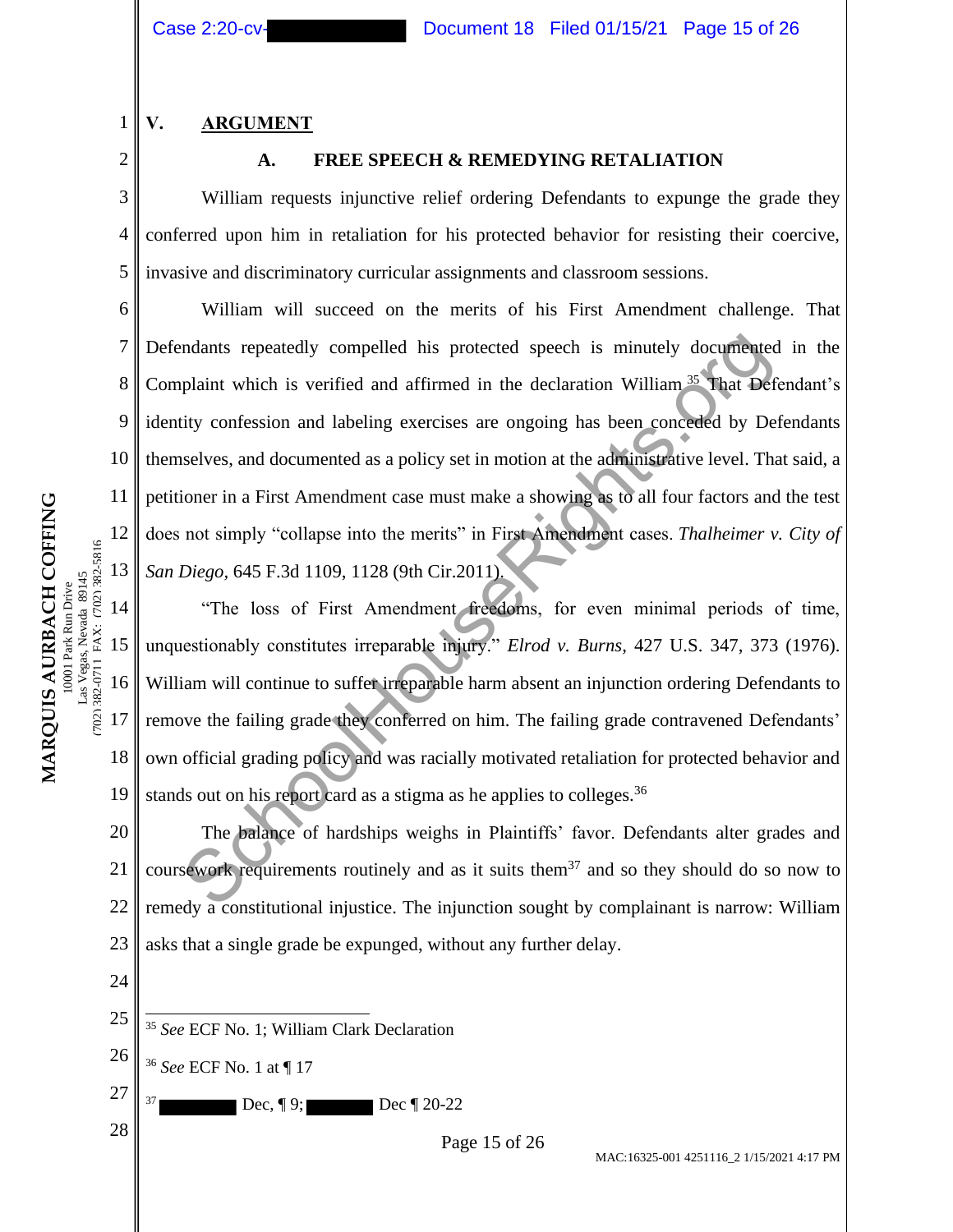**V. ARGUMENT**

2

7

8

9

10

11

12

13

702) 382-0711 FAX: (702) 382-5816 as Vegas, Nevada 89145 0001 Park Run Drive

**MARQUIS AURBACH COFFING** 10001 Park Run Drive Las Vegas, Nevada 89145 (702) 382-0711 FAX: (702) 382-5816

MARQUIS AURBACH COFFING

1

#### **A. FREE SPEECH & REMEDYING RETALIATION**

3 4 5 William requests injunctive relief ordering Defendants to expunge the grade they conferred upon him in retaliation for his protected behavior for resisting their coercive, invasive and discriminatory curricular assignments and classroom sessions.

6 William will succeed on the merits of his First Amendment challenge. That Defendants repeatedly compelled his protected speech is minutely documented in the Complaint which is verified and affirmed in the declaration William <sup>35</sup> That Defendant's identity confession and labeling exercises are ongoing has been conceded by Defendants themselves, and documented as a policy set in motion at the administrative level. That said, a petitioner in a First Amendment case must make a showing as to all four factors and the test does not simply "collapse into the merits" in First Amendment cases. *Thalheimer v. City of San Diego,* 645 F.3d 1109, 1128 (9th Cir.2011). mdants repeatedly compelled his protected speech is minutely documented<br>plaint which is verified and affirmed in the declaration William<sup>35</sup> That Def<br>ity confession and labeling exercises are ongoing has been conceded by

14 15 16 17 18 19 "The loss of First Amendment freedoms, for even minimal periods of time, unquestionably constitutes irreparable injury." *Elrod v. Burns*, 427 U.S. 347, 373 (1976). William will continue to suffer irreparable harm absent an injunction ordering Defendants to remove the failing grade they conferred on him. The failing grade contravened Defendants' own official grading policy and was racially motivated retaliation for protected behavior and stands out on his report card as a stigma as he applies to colleges.<sup>36</sup>

20 21 22 23 The balance of hardships weighs in Plaintiffs' favor. Defendants alter grades and coursework requirements routinely and as it suits them<sup>37</sup> and so they should do so now to remedy a constitutional injustice. The injunction sought by complainant is narrow: William asks that a single grade be expunged, without any further delay.

- 24
- 25 <sup>35</sup> *See* ECF No. 1; William Clark Declaration
- 26 <sup>36</sup> *See* ECF No. 1 at ¶ 17
- 27 **Dec, ¶ 9; Dec ¶ 20-22**

 $\begin{array}{c|c}\n 28 & \text{Page 15 of 26}\n \end{array}$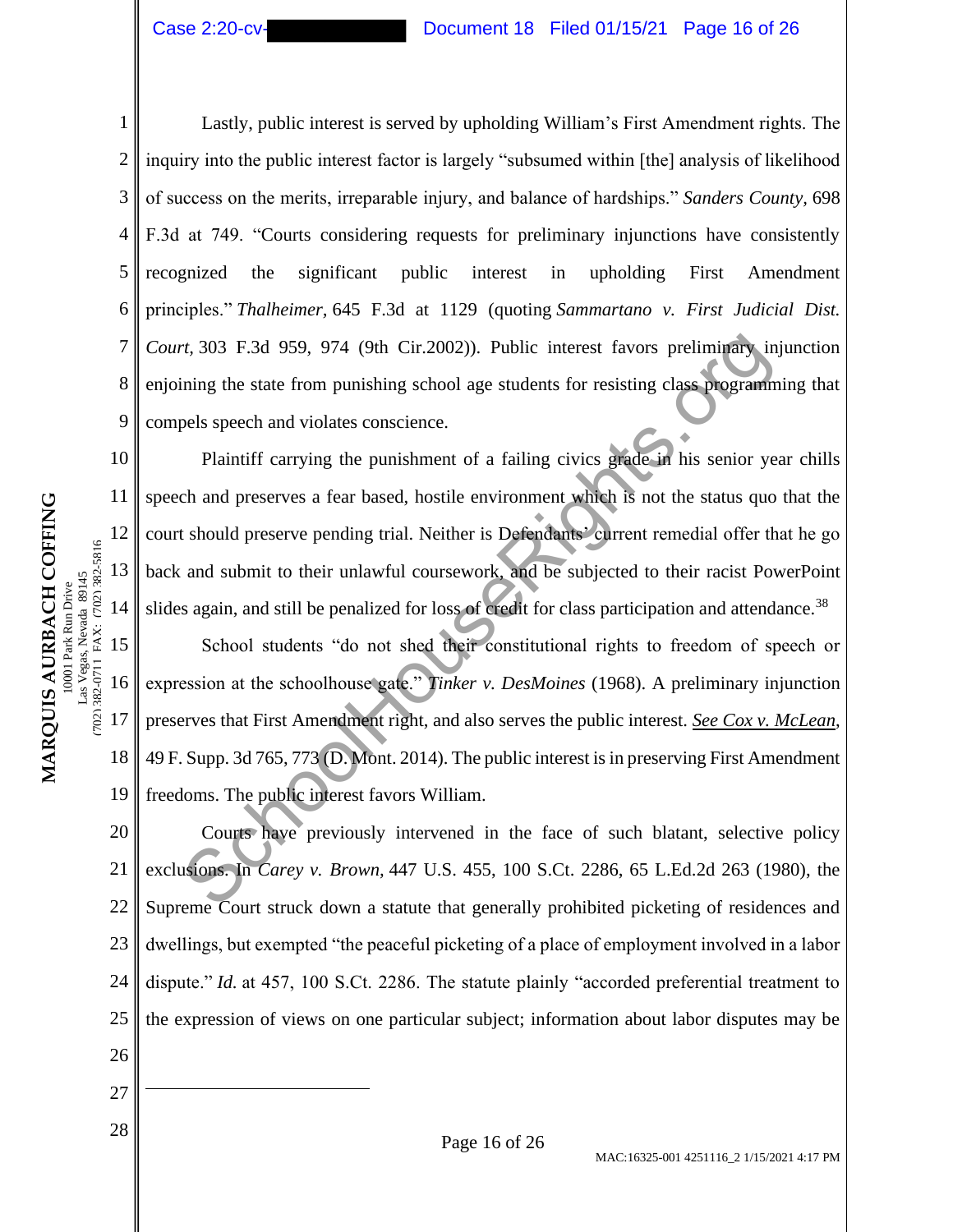#### Case 2:20-cv- Document 18 Filed 01/15/21 Page 16 of 26

10

11

12

13

14

(702) 382-0711 FAX: (702) 382-5816

702) 382-0711 FAX: (702) 382-5816

1 2 3 4 5 6 7 8 9 Lastly, public interest is served by upholding William's First Amendment rights. The inquiry into the public interest factor is largely "subsumed within [the] analysis of likelihood of success on the merits, irreparable injury, and balance of hardships." *Sanders County,* 698 F.3d at 749. "Courts considering requests for preliminary injunctions have consistently recognized the significant public interest in upholding First Amendment principles." *Thalheimer,* 645 F.3d at 1129 (quoting *Sammartano v. First Judicial Dist. Court,* 303 F.3d 959, 974 (9th Cir.2002)). Public interest favors preliminary injunction enjoining the state from punishing school age students for resisting class programming that compels speech and violates conscience.

Plaintiff carrying the punishment of a failing civics grade in his senior year chills speech and preserves a fear based, hostile environment which is not the status quo that the court should preserve pending trial. Neither is Defendants' current remedial offer that he go back and submit to their unlawful coursework, and be subjected to their racist PowerPoint slides again, and still be penalized for loss of credit for class participation and attendance.<sup>38</sup> 7, 303 F.3d 959, 974 (9th Cir.2002)). Public interest favors preliminary in<br>thing the state from punishing school age students for resisting class programm<br>pels speech and violates conscience.<br>Plaintiff carrying the punis

15 16 17 18 19 School students "do not shed their constitutional rights to freedom of speech or expression at the schoolhouse gate." *Tinker v. DesMoines* (1968). A preliminary injunction preserves that First Amendment right, and also serves the public interest. *See Cox v. McLean*, 49 F. Supp. 3d 765, 773 (D. Mont. 2014). The public interest is in preserving First Amendment freedoms. The public interest favors William.

20 21 22 23 24 25 26 Courts have previously intervened in the face of such blatant, selective policy exclusions. In *Carey v. Brown,* 447 U.S. 455, 100 S.Ct. 2286, 65 L.Ed.2d 263 (1980), the Supreme Court struck down a statute that generally prohibited picketing of residences and dwellings, but exempted "the peaceful picketing of a place of employment involved in a labor dispute." *Id.* at 457, 100 S.Ct. 2286. The statute plainly "accorded preferential treatment to the expression of views on one particular subject; information about labor disputes may be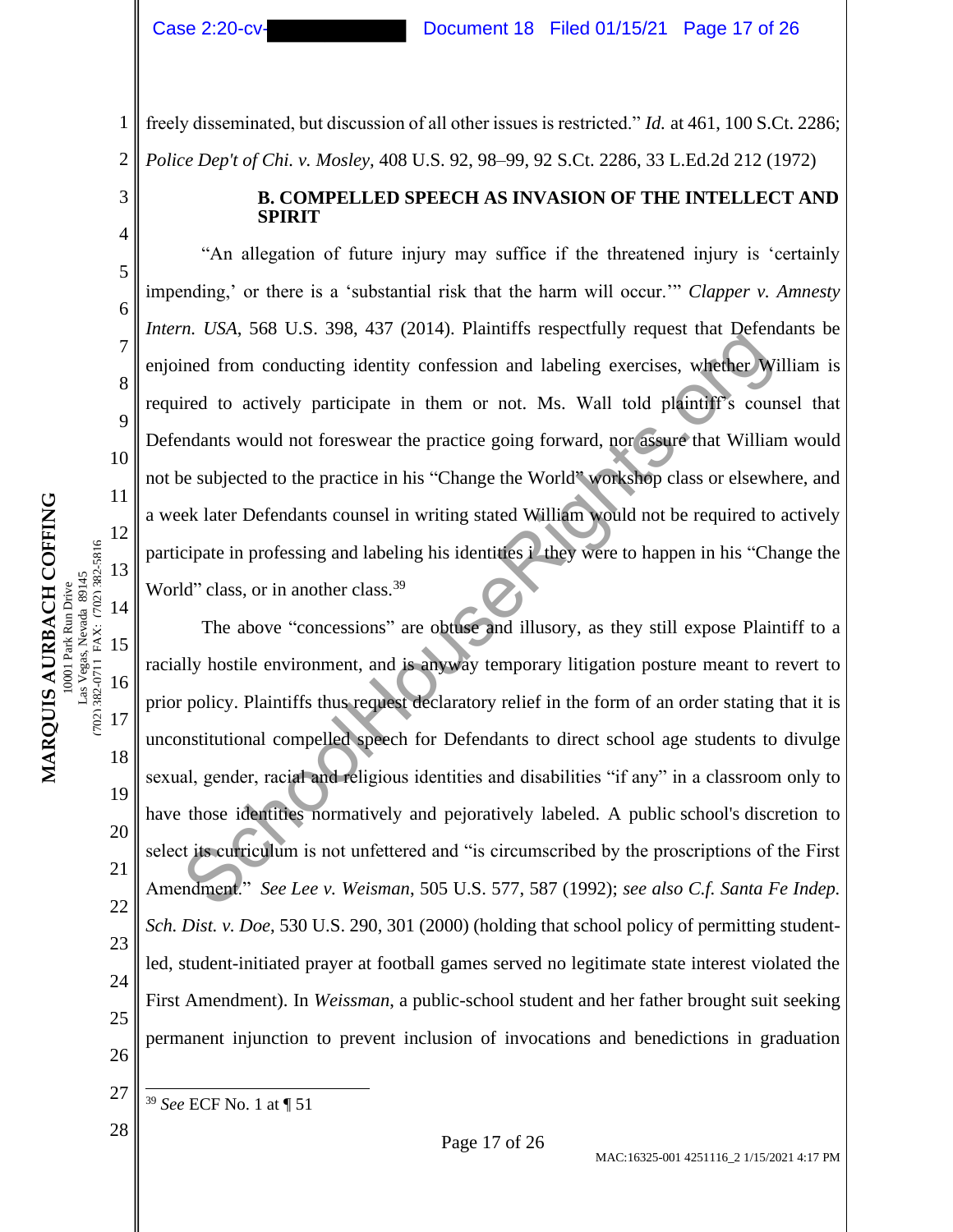2

3

4

5

6

7

8

9

10

11

12

13

14

15

702) 382-0711 FAX: (702) 382-5816 Vegas, Nevada 89145 0001 Park Run Drive

as

**MARQUIS AURBACH COFFING** 10001 Park Run Drive Las Vegas, Nevada 89145 (702) 382-0711 FAX: (702) 382-5816

MARQUIS AURBACH COFFING

16

17

18

19

20

21

22

23

24

25

26

freely disseminated, but discussion of all other issues is restricted." *Id.* at 461, 100 S.Ct. 2286; *Police Dep't of Chi. v. Mosley,* 408 U.S. 92, 98–99, 92 S.Ct. 2286, 33 L.Ed.2d 212 (1972)

> **B. COMPELLED SPEECH AS INVASION OF THE INTELLECT AND SPIRIT**

"An allegation of future injury may suffice if the threatened injury is 'certainly impending,' or there is a 'substantial risk that the harm will occur.'" *Clapper v. Amnesty Intern. USA*, 568 U.S. 398, 437 (2014). Plaintiffs respectfully request that Defendants be enjoined from conducting identity confession and labeling exercises, whether William is required to actively participate in them or not. Ms. Wall told plaintiff's counsel that Defendants would not foreswear the practice going forward, nor assure that William would not be subjected to the practice in his "Change the World" workshop class or elsewhere, and a week later Defendants counsel in writing stated William would not be required to actively participate in professing and labeling his identities i they were to happen in his "Change the World" class, or in another class.<sup>39</sup>

The above "concessions" are obtuse and illusory, as they still expose Plaintiff to a racially hostile environment, and is anyway temporary litigation posture meant to revert to prior policy. Plaintiffs thus request declaratory relief in the form of an order stating that it is unconstitutional compelled speech for Defendants to direct school age students to divulge sexual, gender, racial and religious identities and disabilities "if any" in a classroom only to have those identities normatively and pejoratively labeled. A public school's discretion to select its curriculum is not unfettered and "is circumscribed by the proscriptions of the First Amendment." *See Lee v. Weisman*, 505 U.S. 577, 587 (1992); *see also C.f. Santa Fe Indep. Sch. Dist. v. Doe*, 530 U.S. 290, 301 (2000) (holding that school policy of permitting studentled, student-initiated prayer at football games served no legitimate state interest violated the First Amendment). In *Weissman*, a public-school student and her father brought suit seeking permanent injunction to prevent inclusion of invocations and benedictions in graduation The bott, 300 CE 200, 197 (2011). Tainting respectively request that colories<br>in the control of the presence of the presence of the presence of the presence of the presence of the presence of the presence of the presence

<sup>39</sup> *See* ECF No. 1 at ¶ 51

<sup>27</sup>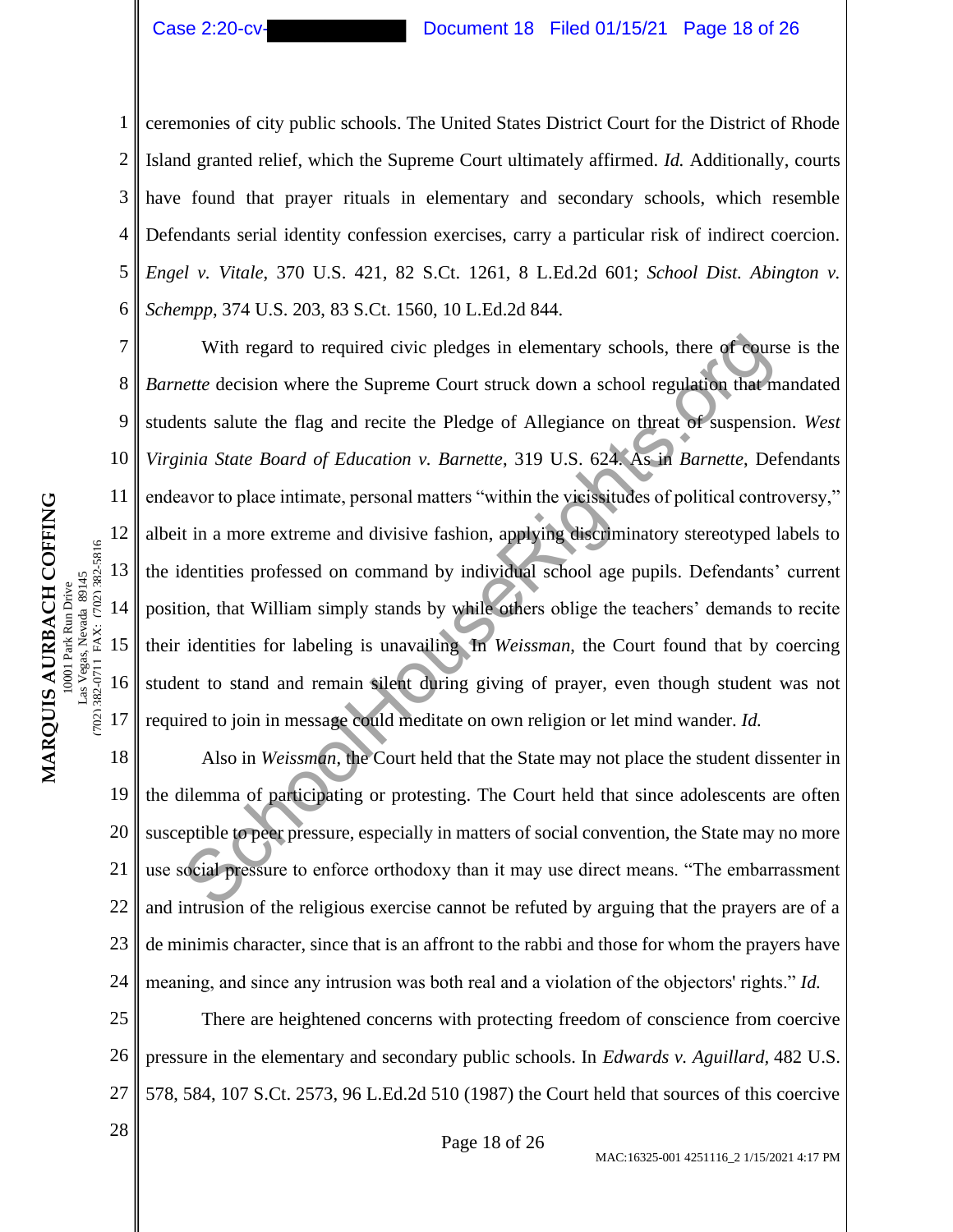# Case 2:20-cv- Document 18 Filed 01/15/21 Page 18 of 26

1 2 3 4 5 6 ceremonies of city public schools. The United States District Court for the District of Rhode Island granted relief, which the Supreme Court ultimately affirmed. *Id.* Additionally, courts have found that prayer rituals in elementary and secondary schools, which resemble Defendants serial identity confession exercises, carry a particular risk of indirect coercion. *Engel v. Vitale*, 370 U.S. 421, 82 S.Ct. 1261, 8 L.Ed.2d 601; *School Dist. Abington v. Schempp*, 374 U.S. 203, 83 S.Ct. 1560, 10 L.Ed.2d 844.

With regard to required civic pledges in elementary schools, there of course is the *Barnette* decision where the Supreme Court struck down a school regulation that mandated students salute the flag and recite the Pledge of Allegiance on threat of suspension. *West Virginia State Board of Education v. Barnette*, 319 U.S. 624. As in *Barnette*, Defendants endeavor to place intimate, personal matters "within the vicissitudes of political controversy," albeit in a more extreme and divisive fashion, applying discriminatory stereotyped labels to the identities professed on command by individual school age pupils. Defendants' current position, that William simply stands by while others oblige the teachers' demands to recite their identities for labeling is unavailing In *Weissman*, the Court found that by coercing student to stand and remain silent during giving of prayer, even though student was not required to join in message could meditate on own religion or let mind wander. *Id.* With regard to required civic pledges in elementary schools, there of cours<br> *ette* decision where the Supreme Court struck down a school regulation that ments salute the flag and recite the Pledge of Allegiance on threat

18 19 20 21 22 23 24 Also in *Weissman*, the Court held that the State may not place the student dissenter in the dilemma of participating or protesting. The Court held that since adolescents are often susceptible to peer pressure, especially in matters of social convention, the State may no more use social pressure to enforce orthodoxy than it may use direct means. "The embarrassment and intrusion of the religious exercise cannot be refuted by arguing that the prayers are of a de minimis character, since that is an affront to the rabbi and those for whom the prayers have meaning, and since any intrusion was both real and a violation of the objectors' rights." *Id.*

25 26 27 There are heightened concerns with protecting freedom of conscience from coercive pressure in the elementary and secondary public schools. In *Edwards v. Aguillard,* 482 U.S. 578, 584, 107 S.Ct. 2573, 96 L.Ed.2d 510 (1987) the Court held that sources of this coercive

7

8

9

10

11

12

13

14

15

16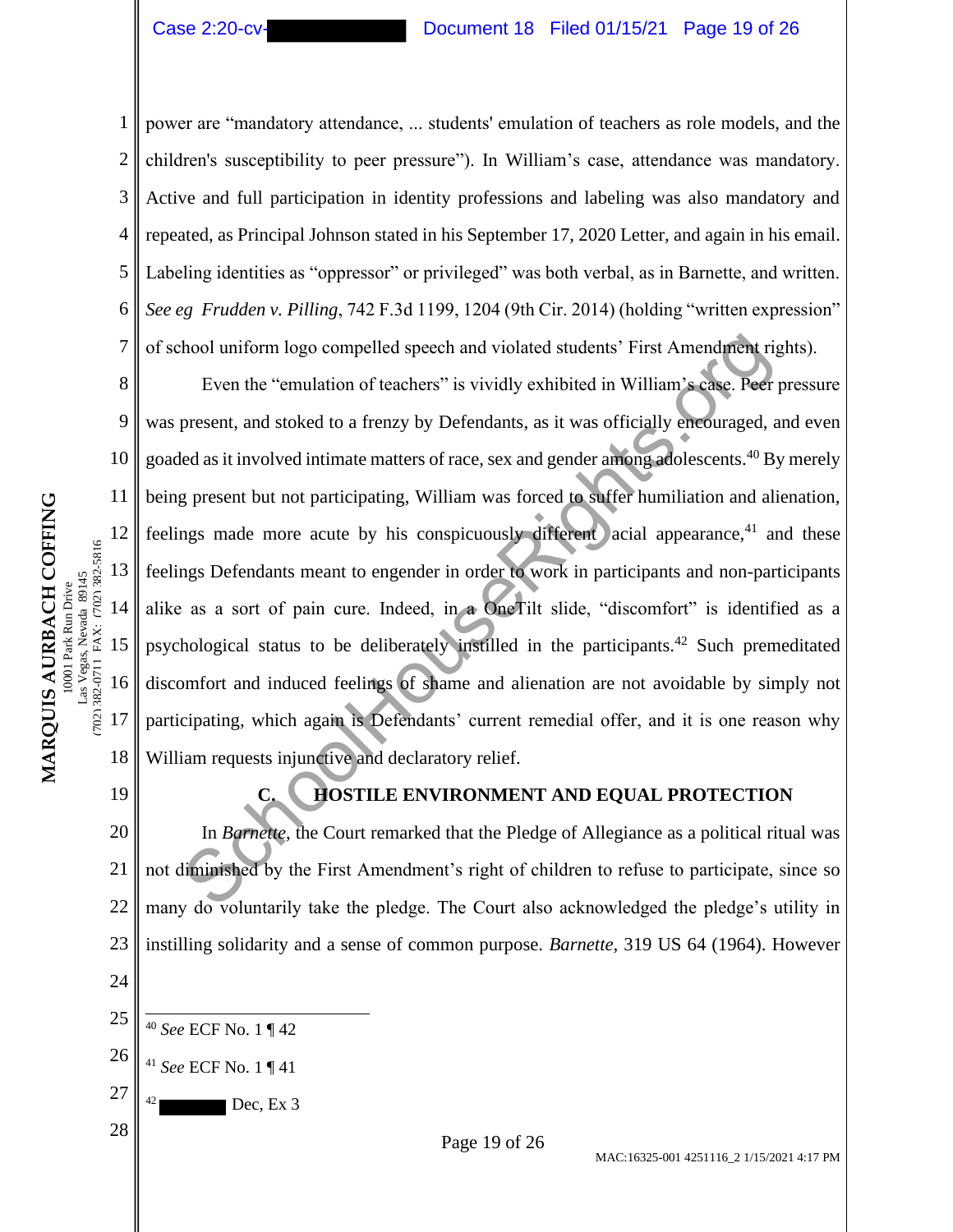2

3

4

5

7

9

11

12

13

14

15

(702) 382-0711 FAX: (702) 382-5816

702) 382-0711 FAX: (702) 382-5816

16

17

18

#### Case 2:20-cv- Document 18 Filed 01/15/21 Page 19 of 26

6 power are "mandatory attendance, ... students' emulation of teachers as role models, and the children's susceptibility to peer pressure"). In William's case, attendance was mandatory. Active and full participation in identity professions and labeling was also mandatory and repeated, as Principal Johnson stated in his September 17, 2020 Letter, and again in his email. Labeling identities as "oppressor" or privileged" was both verbal, as in Barnette, and written. *See eg Frudden v. Pilling*, 742 F.3d 1199, 1204 (9th Cir. 2014) (holding "written expression" of school uniform logo compelled speech and violated students' First Amendment rights).

8 10 Even the "emulation of teachers" is vividly exhibited in William's case. Peer pressure was present, and stoked to a frenzy by Defendants, as it was officially encouraged, and even goaded as it involved intimate matters of race, sex and gender among adolescents.<sup>40</sup> By merely being present but not participating, William was forced to suffer humiliation and alienation, feelings made more acute by his conspicuously different acial appearance, $41$  and these feelings Defendants meant to engender in order to work in participants and non-participants alike as a sort of pain cure. Indeed, in a OneTilt slide, "discomfort" is identified as a psychological status to be deliberately instilled in the participants.<sup>42</sup> Such premeditated discomfort and induced feelings of shame and alienation are not avoidable by simply not participating, which again is Defendants' current remedial offer, and it is one reason why William requests injunctive and declaratory relief. hool uniform logo compelled speech and violated students' First Amendment rip<br>
Even the "emulation of teachers" is vividly exhibited in William's case. Peer<br>
present, and stoked to a frenzy by Defendants, as it was officia

19

24

# **C. HOSTILE ENVIRONMENT AND EQUAL PROTECTION**

20 21 22 23 In *Barnette*, the Court remarked that the Pledge of Allegiance as a political ritual was not diminished by the First Amendment's right of children to refuse to participate, since so many do voluntarily take the pledge. The Court also acknowledged the pledge's utility in instilling solidarity and a sense of common purpose. *Barnette*, 319 US 64 (1964). However

- 25 <sup>40</sup> *See* ECF No. 1 ¶ 42
- 26 <sup>41</sup> *See* ECF No. 1 ¶ 41
- 27  $Dec, Ex 3$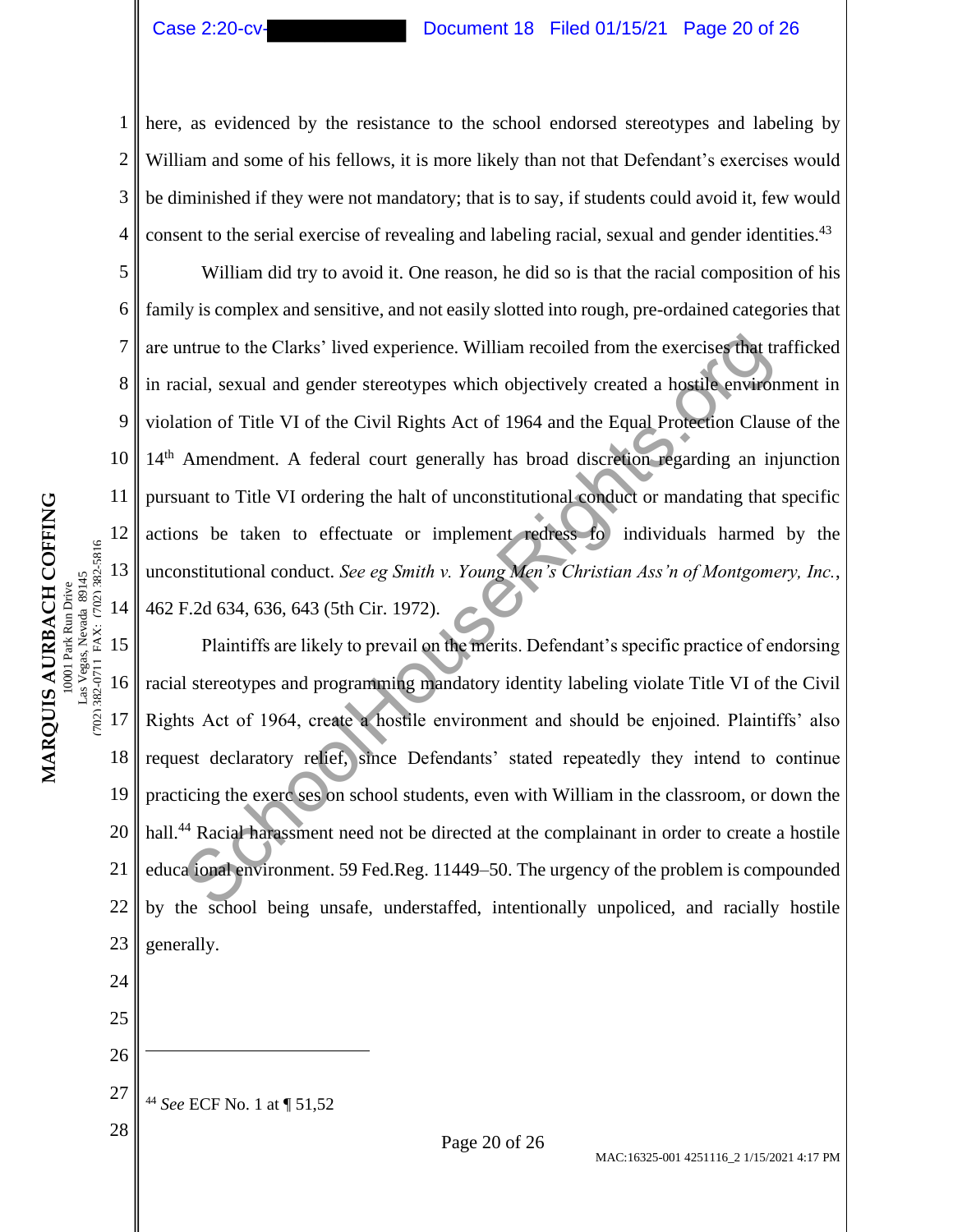2

3

4

5

6

7

8

9

10

11

12

13

14

702) 382-0711 FAX: (702) 382-5816 as Vegas, Nevada 89145 0001 Park Run Drive

**MARQUIS AURBACH COFFING** 10001 Park Run Drive Las Vegas, Nevada 89145 (702) 382-0711 FAX: (702) 382-5816

MARQUIS AURBACH COFFING

# Case 2:20-cv- Document 18 Filed 01/15/21 Page 20 of 26

here, as evidenced by the resistance to the school endorsed stereotypes and labeling by William and some of his fellows, it is more likely than not that Defendant's exercises would be diminished if they were not mandatory; that is to say, if students could avoid it, few would consent to the serial exercise of revealing and labeling racial, sexual and gender identities.<sup>43</sup>

William did try to avoid it. One reason, he did so is that the racial composition of his family is complex and sensitive, and not easily slotted into rough, pre-ordained categories that are untrue to the Clarks' lived experience. William recoiled from the exercises that trafficked in racial, sexual and gender stereotypes which objectively created a hostile environment in violation of Title VI of the Civil Rights Act of 1964 and the Equal Protection Clause of the 14<sup>th</sup> Amendment. A federal court generally has broad discretion regarding an injunction pursuant to Title VI ordering the halt of unconstitutional conduct or mandating that specific actions be taken to effectuate or implement redress fo individuals harmed by the unconstitutional conduct. *See eg Smith v. Young Men's Christian Ass'n of Montgomery, Inc.*, 462 F.2d 634, 636, 643 (5th Cir. 1972). ntrue to the Clarks' lived experience. William recoiled from the exercises that triest cial, sexual and gender stereotypes which objectively created a hostile environtion of Title VI of the Civil Rights Act of 1964 and the

15 16 17 18 19 20 21 22 23 Plaintiffs are likely to prevail on the merits. Defendant's specific practice of endorsing racial stereotypes and programming mandatory identity labeling violate Title VI of the Civil Rights Act of 1964, create a hostile environment and should be enjoined. Plaintiffs' also request declaratory relief, since Defendants' stated repeatedly they intend to continue practicing the exerc ses on school students, even with William in the classroom, or down the hall.<sup>44</sup> Racial harassment need not be directed at the complainant in order to create a hostile educa ional environment. 59 Fed.Reg. 11449–50. The urgency of the problem is compounded by the school being unsafe, understaffed, intentionally unpoliced, and racially hostile generally.

24 25

- 27 <sup>44</sup> *See* ECF No. 1 at ¶ 51,52
-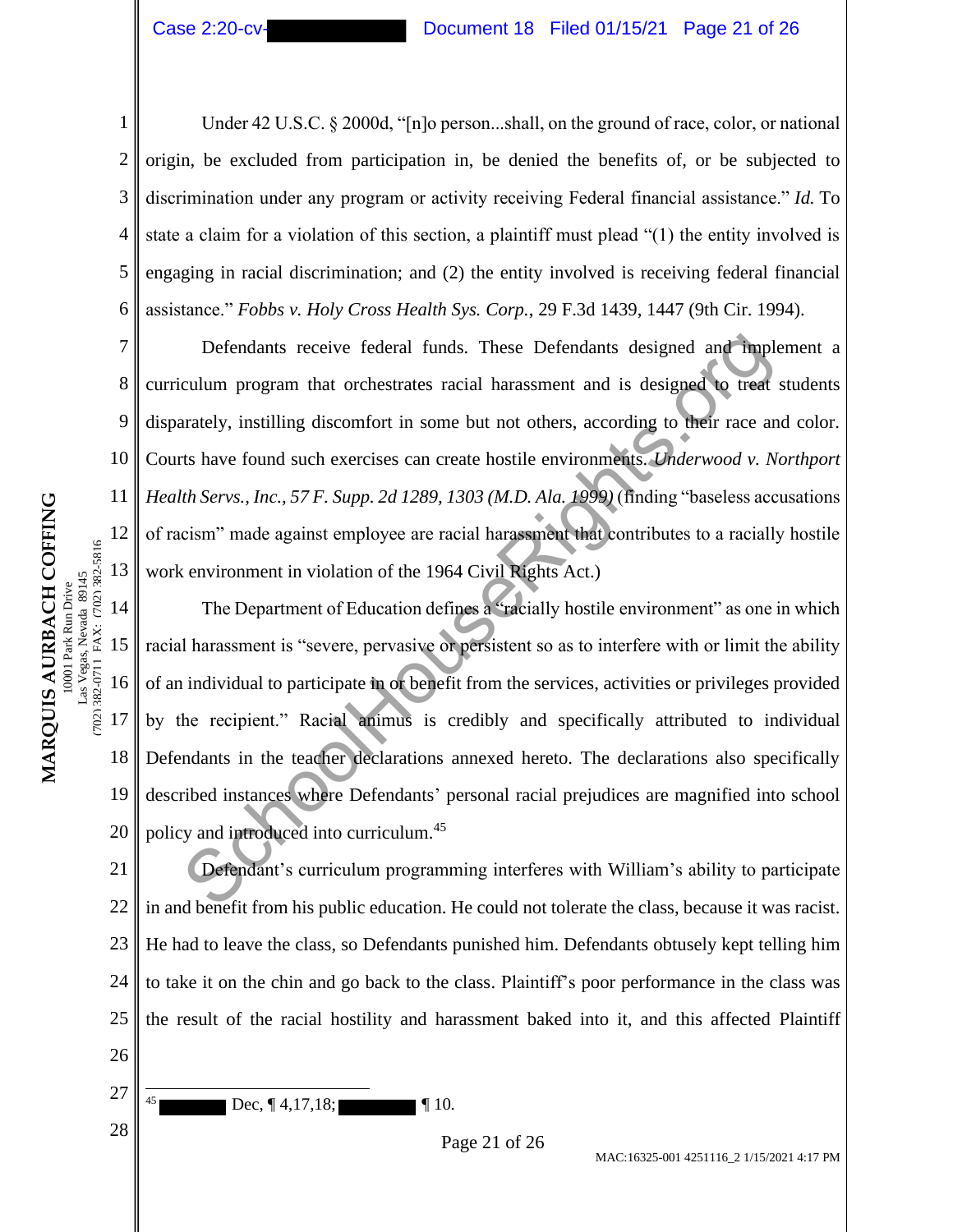1 2 3 4 5 6 Under 42 U.S.C. § 2000d, "[n]o person...shall, on the ground of race, color, or national origin, be excluded from participation in, be denied the benefits of, or be subjected to discrimination under any program or activity receiving Federal financial assistance." *Id.* To state a claim for a violation of this section, a plaintiff must plead "(1) the entity involved is engaging in racial discrimination; and (2) the entity involved is receiving federal financial assistance." *Fobbs v. Holy Cross Health Sys. Corp.*, 29 F.3d 1439, 1447 (9th Cir. 1994).

10 Defendants receive federal funds. These Defendants designed and implement a curriculum program that orchestrates racial harassment and is designed to treat students disparately, instilling discomfort in some but not others, according to their race and color. Courts have found such exercises can create hostile environments. *Underwood v. Northport Health Servs., Inc., 57 F. Supp. 2d 1289, 1303 (M.D. Ala. 1999)* (finding "baseless accusations of racism" made against employee are racial harassment that contributes to a racially hostile work environment in violation of the 1964 Civil Rights Act.) Defendants receive federal funds. These Defendants designed and implementant program that orchestrates racial harassment and is designed to treat arately, instilling discomfort in some but not others, according to their ra

14 15 16 17 18 19 20 The Department of Education defines a "racially hostile environment" as one in which racial harassment is "severe, pervasive or persistent so as to interfere with or limit the ability of an individual to participate in or benefit from the services, activities or privileges provided by the recipient." Racial animus is credibly and specifically attributed to individual Defendants in the teacher declarations annexed hereto. The declarations also specifically described instances where Defendants' personal racial prejudices are magnified into school policy and introduced into curriculum.<sup>45</sup>

21 22 23 24 25 26 Defendant's curriculum programming interferes with William's ability to participate in and benefit from his public education. He could not tolerate the class, because it was racist. He had to leave the class, so Defendants punished him. Defendants obtusely kept telling him to take it on the chin and go back to the class. Plaintiff's poor performance in the class was the result of the racial hostility and harassment baked into it, and this affected Plaintiff

27  $\begin{array}{c|c}\n 28 & \text{Page 21 of 26}\n \end{array}$  $Dec, \P 4, 17, 18; \qquad \qquad \P 10.$ 

7

8

9

11

12

13

(702) 382-0711 FAX: (702) 382-5816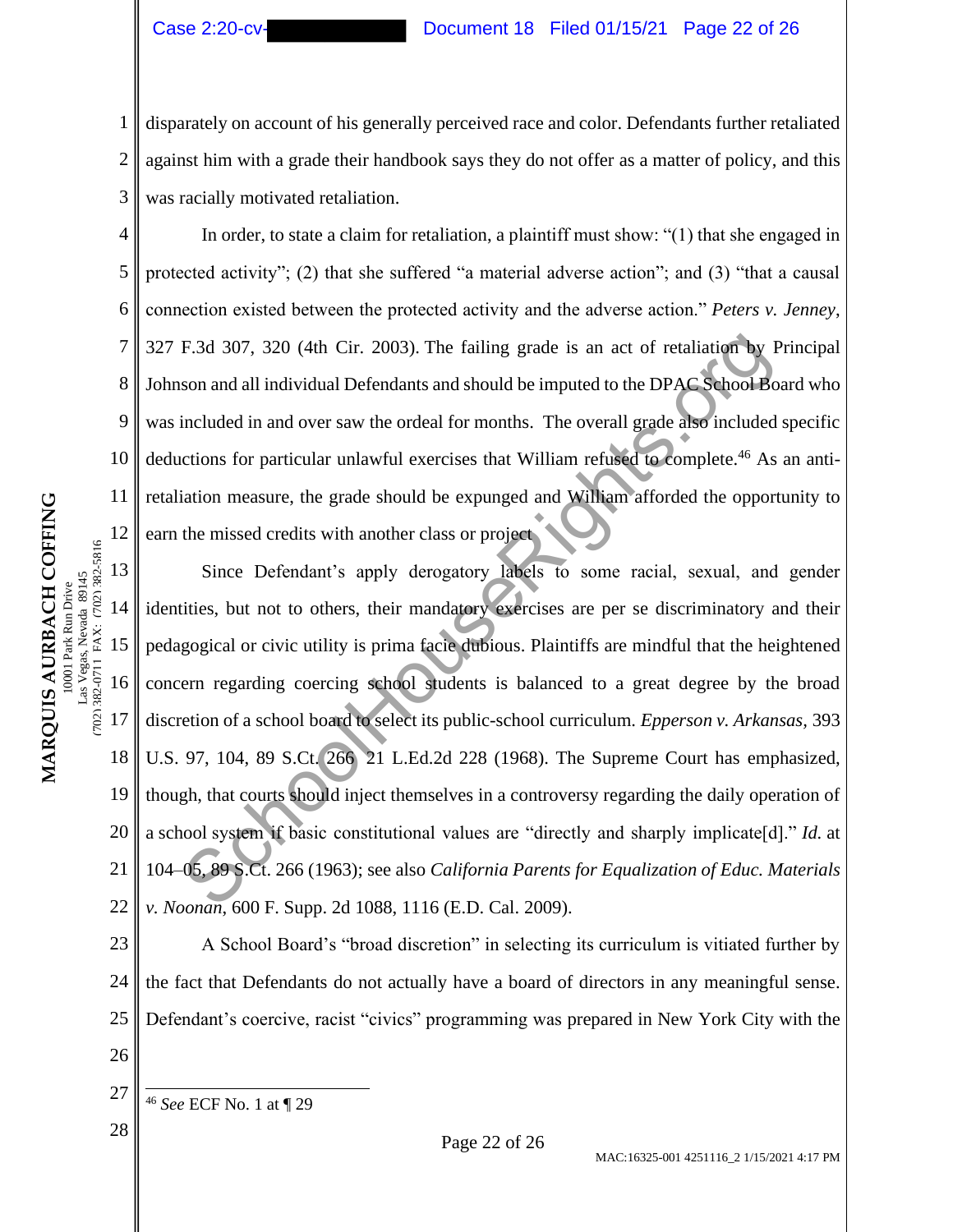5

6

7

8

9

11

12

# Case 2:20-cv- Document 18 Filed 01/15/21 Page 22 of 26

1 2 3 disparately on account of his generally perceived race and color. Defendants further retaliated against him with a grade their handbook says they do not offer as a matter of policy, and this was racially motivated retaliation.

10 In order, to state a claim for retaliation, a plaintiff must show: "(1) that she engaged in protected activity"; (2) that she suffered "a material adverse action"; and (3) "that a causal connection existed between the protected activity and the adverse action." *Peters v. Jenney*, 327 F.3d 307, 320 (4th Cir. 2003). The failing grade is an act of retaliation by Principal Johnson and all individual Defendants and should be imputed to the DPAC School Board who was included in and over saw the ordeal for months. The overall grade also included specific deductions for particular unlawful exercises that William refused to complete.<sup>46</sup> As an antiretaliation measure, the grade should be expunged and William afforded the opportunity to earn the missed credits with another class or project

13 14 15 16 17 18 19 20 21 22 Since Defendant's apply derogatory labels to some racial, sexual, and gender identities, but not to others, their mandatory exercises are per se discriminatory and their pedagogical or civic utility is prima facie dubious. Plaintiffs are mindful that the heightened concern regarding coercing school students is balanced to a great degree by the broad discretion of a school board to select its public-school curriculum. *Epperson v. Arkansas,* 393 U.S. 97, 104, 89 S.Ct. 266 21 L.Ed.2d 228 (1968). The Supreme Court has emphasized, though, that courts should inject themselves in a controversy regarding the daily operation of a school system if basic constitutional values are "directly and sharply implicate[d]." *Id.* at 104–05, 89 S.Ct. 266 (1963); see also *California Parents for Equalization of Educ. Materials v. Noonan*, 600 F. Supp. 2d 1088, 1116 (E.D. Cal. 2009). F.3d 307, 320 (4th Cir. 2003). The failing grade is an act of retaliation by I<br>son and all individual Defendants and should be imputed to the DPAC School-Be<br>included in and over saw the ordeal for months. The overall grad

23 24 25 26 A School Board's "broad discretion" in selecting its curriculum is vitiated further by the fact that Defendants do not actually have a board of directors in any meaningful sense. Defendant's coercive, racist "civics" programming was prepared in New York City with the

 $28 \text{ p}$  Page 22 of 26

<sup>27</sup> <sup>46</sup> *See* ECF No. 1 at ¶ 29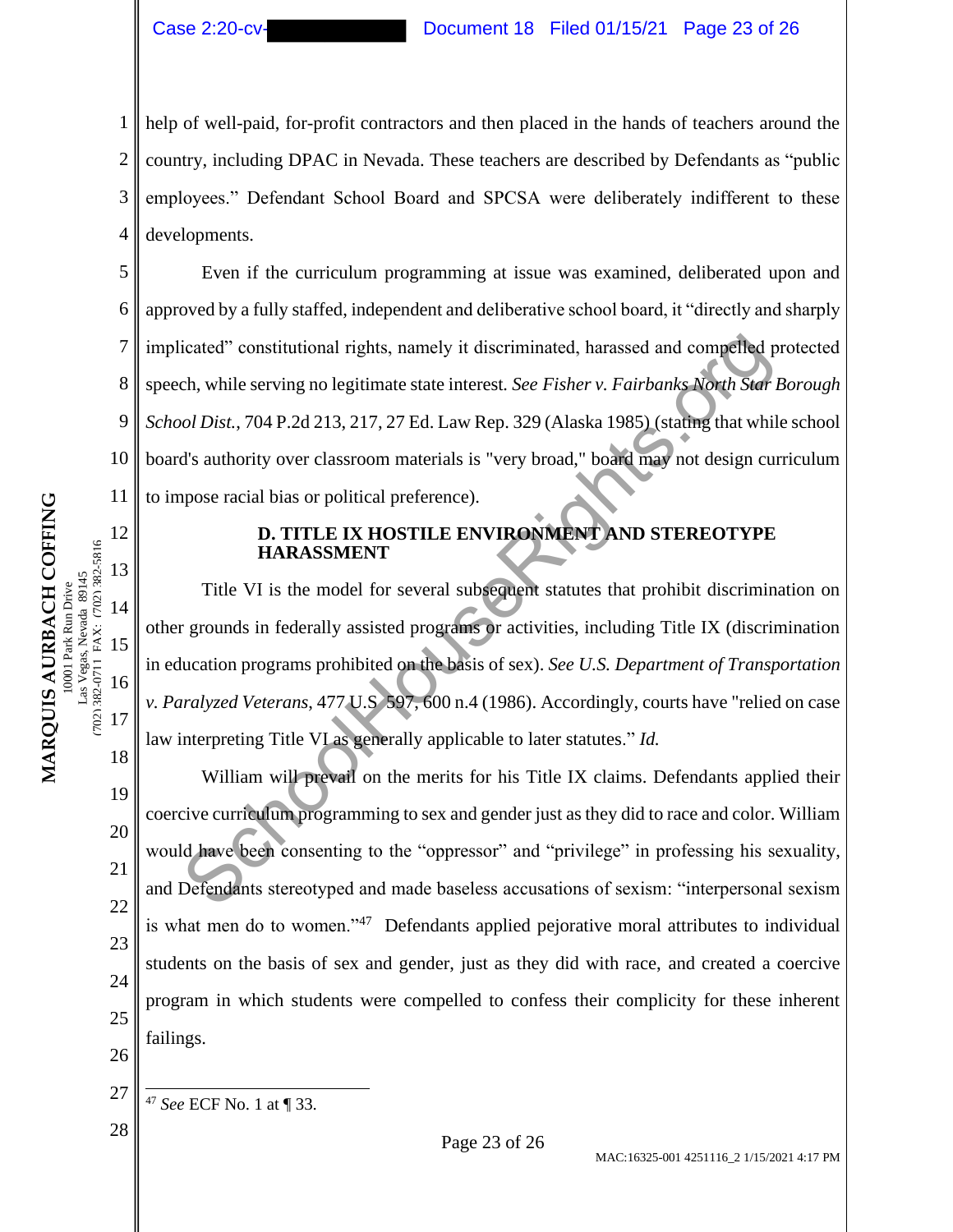1 2 3 4 help of well-paid, for-profit contractors and then placed in the hands of teachers around the country, including DPAC in Nevada. These teachers are described by Defendants as "public employees." Defendant School Board and SPCSA were deliberately indifferent to these developments.

5 6 7 8 9 10 11 Even if the curriculum programming at issue was examined, deliberated upon and approved by a fully staffed, independent and deliberative school board, it "directly and sharply implicated" constitutional rights, namely it discriminated, harassed and compelled protected speech, while serving no legitimate state interest*. See Fisher v. Fairbanks North Star Borough School Dist.*, 704 P.2d 213, 217, 27 Ed. Law Rep. 329 (Alaska 1985) (stating that while school board's authority over classroom materials is "very broad," board may not design curriculum to impose racial bias or political preference). icated" constitutional rights, namely it discriminated, harassed and competied pch, while serving no legitimate state interest. *See Fisher v. Fairbanks North State of State of State And State State And State State And Sta* 

# **D. TITLE IX HOSTILE ENVIRONMENT AND STEREOTYPE HARASSMENT**

Title VI is the model for several subsequent statutes that prohibit discrimination on other grounds in federally assisted programs or activities, including Title IX (discrimination in education programs prohibited on the basis of sex). *See U.S. Department of Transportation v. Paralyzed Veterans*, 477 U.S 597, 600 n.4 (1986). Accordingly, courts have "relied on case law interpreting Title VI as generally applicable to later statutes." *Id.* 

20 22 23 24 26 William will prevail on the merits for his Title IX claims. Defendants applied their coercive curriculum programming to sex and gender just as they did to race and color. William would have been consenting to the "oppressor" and "privilege" in professing his sexuality, and Defendants stereotyped and made baseless accusations of sexism: "interpersonal sexism is what men do to women."<sup>47</sup> Defendants applied pejorative moral attributes to individual students on the basis of sex and gender, just as they did with race, and created a coercive program in which students were compelled to confess their complicity for these inherent failings.

12

13

14

15

16

17

18

19

21

<sup>27</sup> <sup>47</sup> *See* ECF No. 1 at ¶ 33.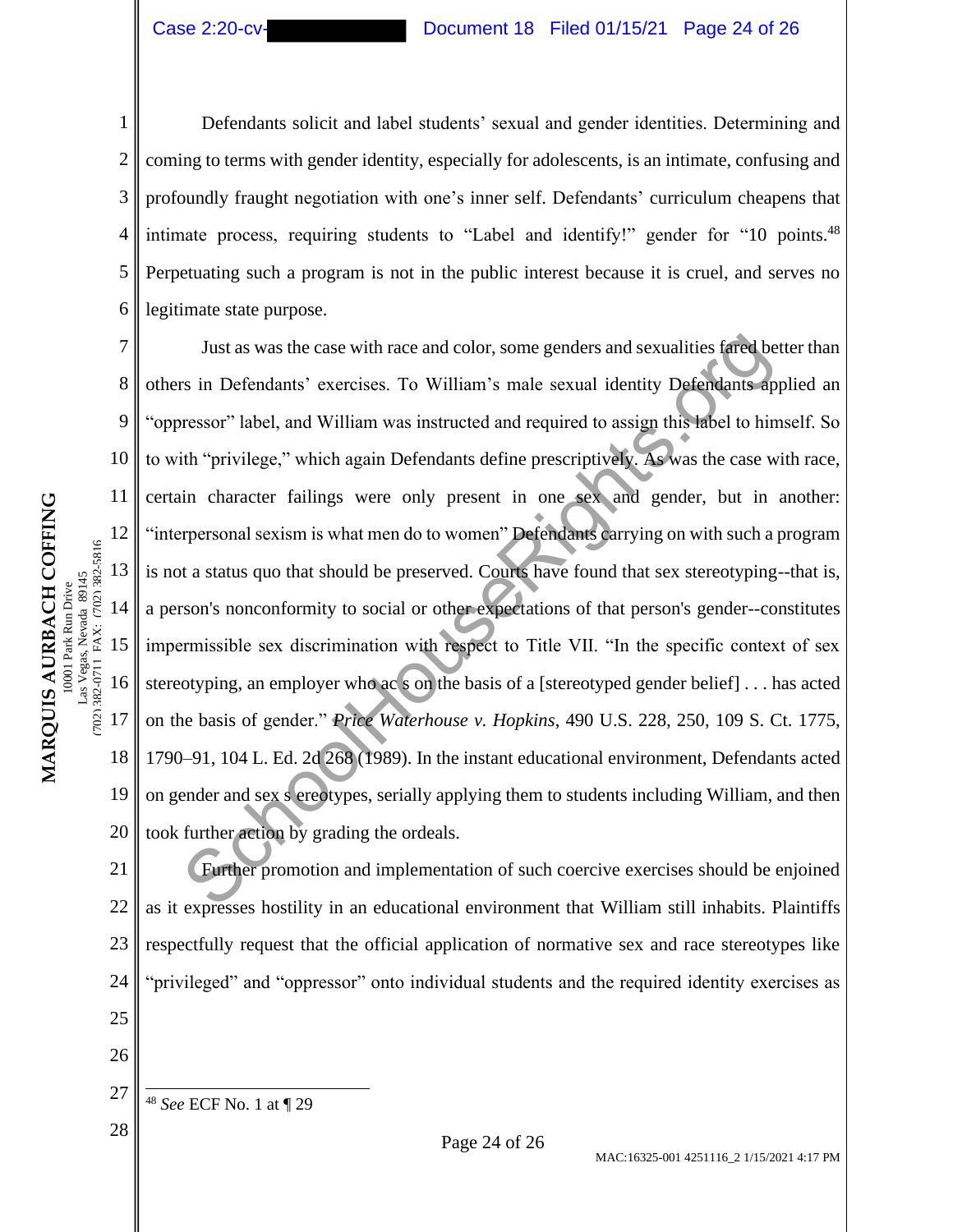# Case 2:20-cv- Document 18 Filed 01/15/21 Page 24 of 26

1 2 3 4 5 6 Defendants solicit and label students' sexual and gender identities. Determining and coming to terms with gender identity, especially for adolescents, is an intimate, confusing and profoundly fraught negotiation with one's inner self. Defendants' curriculum cheapens that intimate process, requiring students to "Label and identify!" gender for "10 points.  $48$ Perpetuating such a program is not in the public interest because it is cruel, and serves no legitimate state purpose.

7 8 9 10 11 12 13 14 15 16 17 18 19 20 Just as was the case with race and color, some genders and sexualities fared better than others in Defendants' exercises. To William's male sexual identity Defendants applied an "oppressor" label, and William was instructed and required to assign this label to himself. So to with "privilege," which again Defendants define prescriptively. As was the case with race, certain character failings were only present in one sex and gender, but in another: "interpersonal sexism is what men do to women" Defendants carrying on with such a program is not a status quo that should be preserved. Courts have found that sex stereotyping--that is, a person's nonconformity to social or other expectations of that person's gender--constitutes impermissible sex discrimination with respect to Title VII. "In the specific context of sex stereotyping, an employer who ac s on the basis of a [stereotyped gender belief] . . . has acted on the basis of gender." *Price Waterhouse v. Hopkins*, 490 U.S. 228, 250, 109 S. Ct. 1775, 1790–91, 104 L. Ed. 2d 268 (1989). In the instant educational environment, Defendants acted on gender and sex s ereotypes, serially applying them to students including William, and then took further action by grading the ordeals. Just as was the case with race and color, some genders and sexualities fared be<br>
School House School, and William was instructed and required to assign this label to hin<br>
the "privilege," which again Defendants define pres

24 Further promotion and implementation of such coercive exercises should be enjoined as it expresses hostility in an educational environment that William still inhabits. Plaintiffs respectfully request that the official application of normative sex and race stereotypes like "privileged" and "oppressor" onto individual students and the required identity exercises as

25 26

21

22

23

- 27 <sup>48</sup> *See* ECF No. 1 at ¶ 29
	-

(702) 382-0711 FAX: (702) 382-5816

702) 382-0711 FAX: (702) 382-5816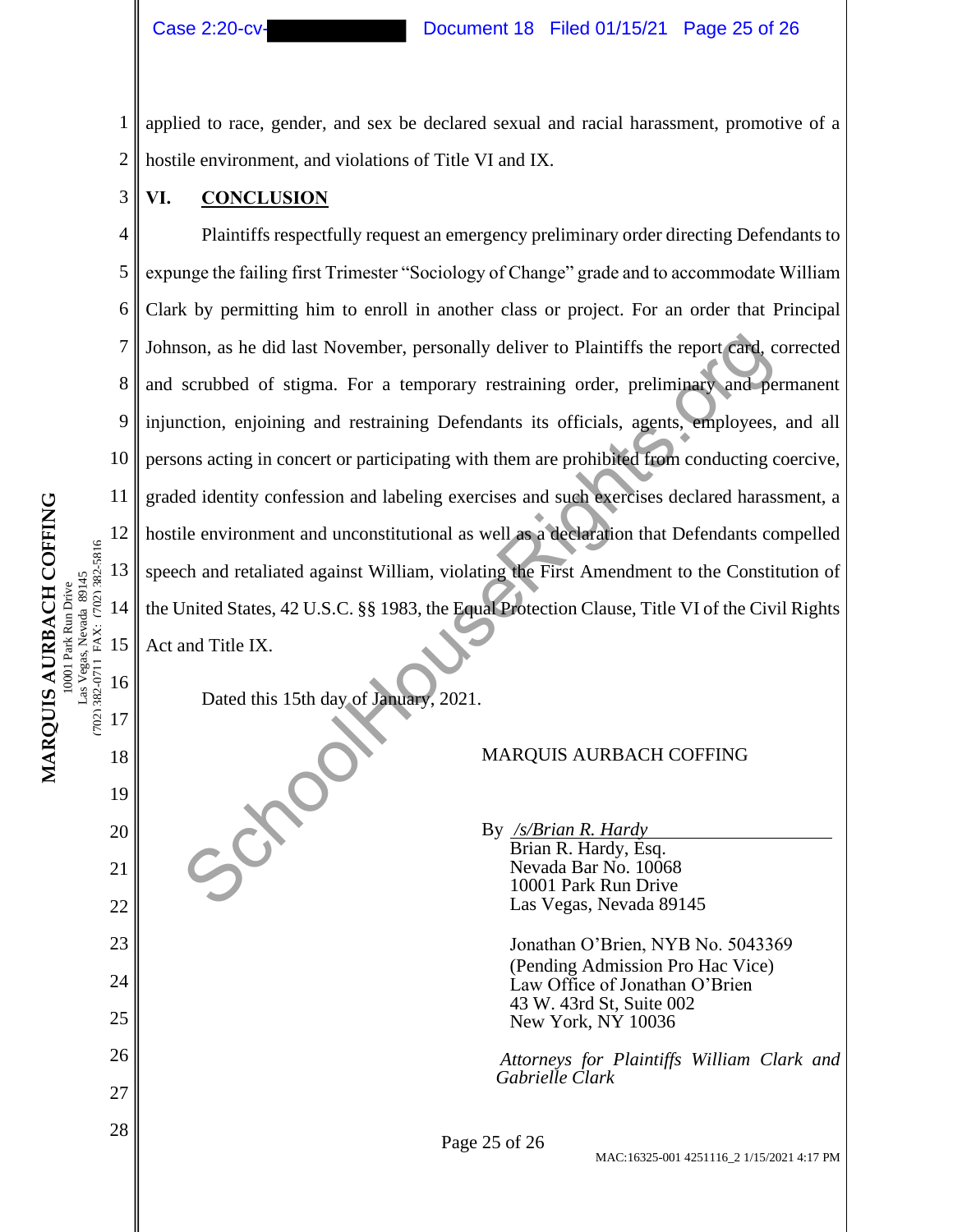1 2 applied to race, gender, and sex be declared sexual and racial harassment, promotive of a hostile environment, and violations of Title VI and IX.

# **VI. CONCLUSION**

3

11

16

17

18

19

20

21

22

23

24

25

26

27

4 5 6 7 8 9 10 12 13 14 15 Plaintiffs respectfully request an emergency preliminary order directing Defendants to expunge the failing first Trimester "Sociology of Change" grade and to accommodate William Clark by permitting him to enroll in another class or project. For an order that Principal Johnson, as he did last November, personally deliver to Plaintiffs the report card, corrected and scrubbed of stigma. For a temporary restraining order, preliminary and permanent injunction, enjoining and restraining Defendants its officials, agents, employees, and all persons acting in concert or participating with them are prohibited from conducting coercive, graded identity confession and labeling exercises and such exercises declared harassment, a hostile environment and unconstitutional as well as a declaration that Defendants compelled speech and retaliated against William, violating the First Amendment to the Constitution of the United States, 42 U.S.C. §§ 1983, the Equal Protection Clause, Title VI of the Civil Rights Act and Title IX. Son, as he did last November, personally deliver to Plaintiffs the report card, c<br>scrubbed of stigma. For a temporary restraining order, preliminary and per<br>ention, enjoining and restraining Defendants its officials, agent

Dated this 15th day of January, 2021.

MARQUIS AURBACH COFFING

By */s/Brian R. Hardy* Brian R. Hardy, Esq. Nevada Bar No. 10068 10001 Park Run Drive Las Vegas, Nevada 89145

> Jonathan O'Brien, NYB No. 5043369 (Pending Admission Pro Hac Vice) Law Office of Jonathan O'Brien 43 W. 43rd St, Suite 002 New York, NY 10036

*Attorneys for Plaintiffs William Clark and Gabrielle Clark*

 $\begin{array}{c|c}\n 28 & \text{Page } 25 \text{ of } 26 \\
 \end{array}$